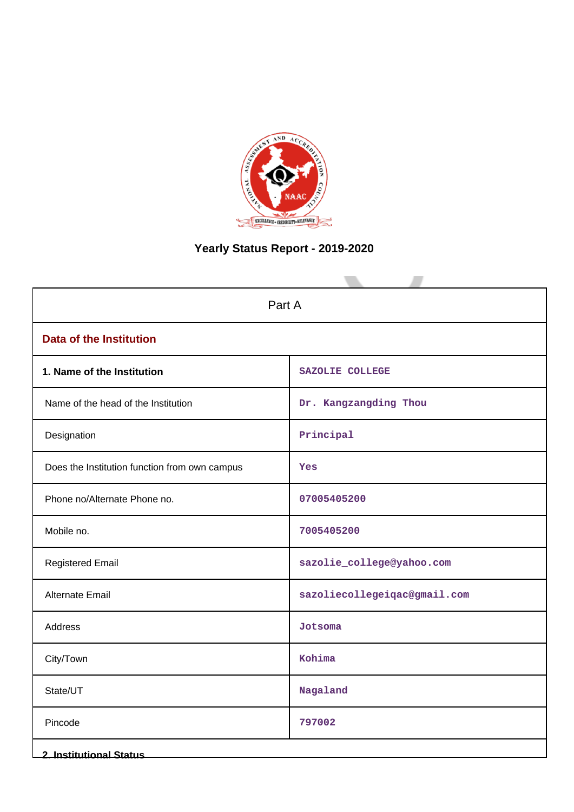

# **Yearly Status Report - 2019-2020**

| Part A                                        |                              |  |  |
|-----------------------------------------------|------------------------------|--|--|
| <b>Data of the Institution</b>                |                              |  |  |
| 1. Name of the Institution                    | SAZOLIE COLLEGE              |  |  |
| Name of the head of the Institution           | Dr. Kangzangding Thou        |  |  |
| Designation                                   | Principal                    |  |  |
| Does the Institution function from own campus | Yes                          |  |  |
| Phone no/Alternate Phone no.                  | 07005405200                  |  |  |
| Mobile no.                                    | 7005405200                   |  |  |
| <b>Registered Email</b>                       | sazolie_college@yahoo.com    |  |  |
| <b>Alternate Email</b>                        | sazoliecollegeiqac@gmail.com |  |  |
| Address                                       | <b>Jotsoma</b>               |  |  |
| City/Town                                     | Kohima                       |  |  |
| State/UT                                      | Nagaland                     |  |  |
| Pincode                                       | 797002                       |  |  |
| <b>2. Institutional Status</b>                |                              |  |  |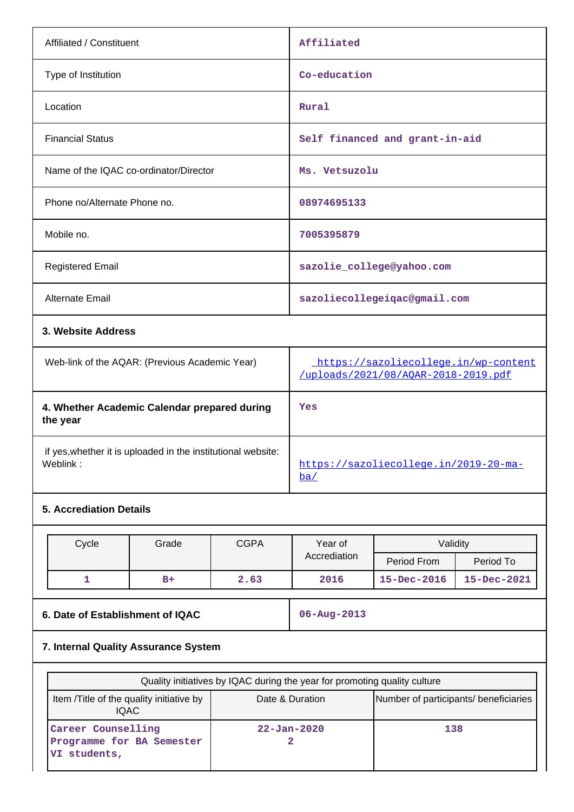| Affiliated / Constituent                       | Affiliated                           |
|------------------------------------------------|--------------------------------------|
| Type of Institution                            | Co-education                         |
| Location                                       | Rural                                |
| <b>Financial Status</b>                        | Self financed and grant-in-aid       |
| Name of the IQAC co-ordinator/Director         | Ms. Vetsuzolu                        |
| Phone no/Alternate Phone no.                   | 08974695133                          |
| Mobile no.                                     | 7005395879                           |
| <b>Registered Email</b>                        | sazolie_college@yahoo.com            |
| <b>Alternate Email</b>                         | sazoliecollegeiqac@gmail.com         |
| 3. Website Address                             |                                      |
| Web-link of the AQAR: (Previous Academic Year) | https://sazoliecollege.in/wp-content |

| Web-link of the AQAR: (Previous Academic Year)                           | https://sazoliecollege.in/wp-content<br>/uploads/2021/08/AOAR-2018-2019.pdf |
|--------------------------------------------------------------------------|-----------------------------------------------------------------------------|
| 4. Whether Academic Calendar prepared during<br>the year                 | Yes                                                                         |
| if yes, whether it is uploaded in the institutional website:<br>Weblink: | https://sazoliecollege.in/2019-20-ma-<br>ba/                                |

## **5. Accrediation Details**

| Cycle | Grade | <b>CGPA</b> | Year of      | Validity          |             |
|-------|-------|-------------|--------------|-------------------|-------------|
|       |       |             | Accrediation | Period From       | Period To   |
|       | $B+$  | 2.63        | 2016         | $15 - Dec - 2016$ | 15-Dec-2021 |

**6. Date of Establishment of IQAC 06-Aug-2013**

## **7. Internal Quality Assurance System**

| Quality initiatives by IQAC during the year for promoting quality culture |                                       |     |  |
|---------------------------------------------------------------------------|---------------------------------------|-----|--|
| Item / Title of the quality initiative by<br>IQAC.                        | Number of participants/ beneficiaries |     |  |
| Career Counselling<br>Programme for BA Semester<br>students,<br>vı        | $22 - Jan - 2020$                     | 138 |  |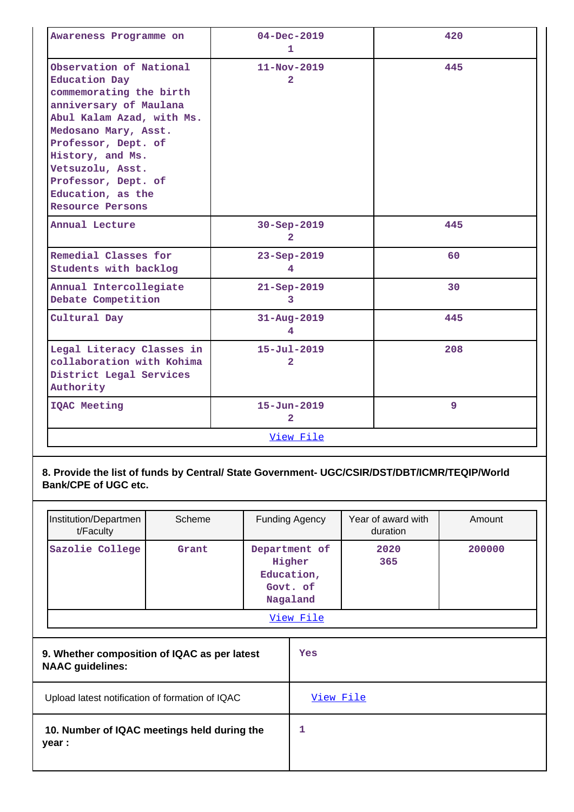| Awareness Programme on                                                                                                                                                                                                                                                                   | $04 - Dec - 2019$<br>1              | 420 |  |
|------------------------------------------------------------------------------------------------------------------------------------------------------------------------------------------------------------------------------------------------------------------------------------------|-------------------------------------|-----|--|
| Observation of National<br><b>Education Day</b><br>commemorating the birth<br>anniversary of Maulana<br>Abul Kalam Azad, with Ms.<br>Medosano Mary, Asst.<br>Professor, Dept. of<br>History, and Ms.<br>Vetsuzolu, Asst.<br>Professor, Dept. of<br>Education, as the<br>Resource Persons | $11 - Nov - 2019$<br>$\overline{2}$ | 445 |  |
| Annual Lecture                                                                                                                                                                                                                                                                           | $30 - Sep - 2019$<br>$\overline{2}$ | 445 |  |
| Remedial Classes for<br>Students with backlog                                                                                                                                                                                                                                            | 23-Sep-2019<br>4                    | 60  |  |
| Annual Intercollegiate<br>Debate Competition                                                                                                                                                                                                                                             | $21 - Sep - 2019$<br>3              | 30  |  |
| Cultural Day                                                                                                                                                                                                                                                                             | 31-Aug-2019<br>4                    | 445 |  |
| Legal Literacy Classes in<br>collaboration with Kohima<br>District Legal Services<br>Authority                                                                                                                                                                                           | $15 - Ju1 - 2019$<br>$\overline{2}$ | 208 |  |
| IQAC Meeting                                                                                                                                                                                                                                                                             | $15 - Jun - 2019$<br>$\overline{2}$ | 9   |  |
|                                                                                                                                                                                                                                                                                          | View File                           |     |  |

## **8. Provide the list of funds by Central/ State Government- UGC/CSIR/DST/DBT/ICMR/TEQIP/World Bank/CPE of UGC etc.**

| Institution/Departmen<br>t/Faculty                                      | Scheme | Funding Agency                                                | Year of award with<br>duration | Amount |
|-------------------------------------------------------------------------|--------|---------------------------------------------------------------|--------------------------------|--------|
| Sazolie College                                                         | Grant  | Department of<br>Higher<br>Education,<br>Govt. of<br>Nagaland | 2020<br>365                    | 200000 |
|                                                                         |        | <u>View File</u>                                              |                                |        |
| 9. Whether composition of IQAC as per latest<br><b>NAAC guidelines:</b> |        | Yes                                                           |                                |        |

| Upload latest notification of formation of IQAC       | View File |
|-------------------------------------------------------|-----------|
| 10. Number of IQAC meetings held during the<br>year : |           |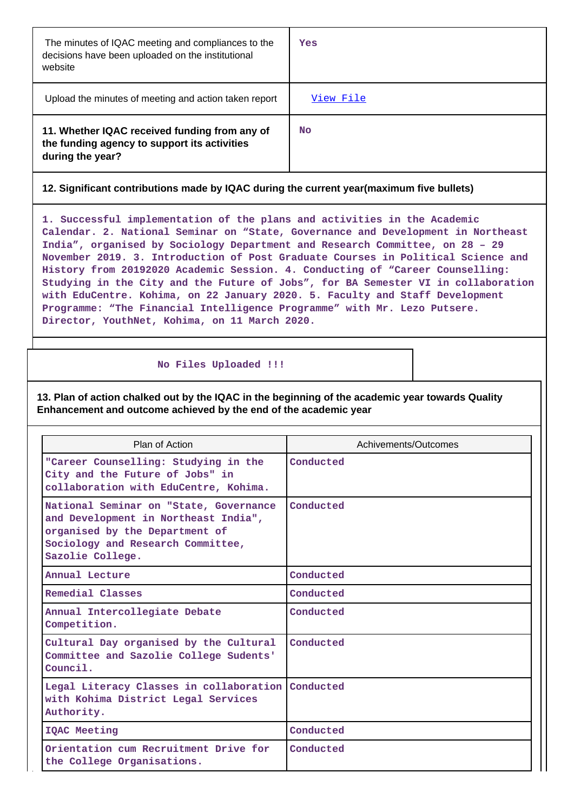| The minutes of IQAC meeting and compliances to the<br>decisions have been uploaded on the institutional<br>website | Yes       |
|--------------------------------------------------------------------------------------------------------------------|-----------|
| Upload the minutes of meeting and action taken report                                                              | View File |
| 11. Whether IQAC received funding from any of<br>the funding agency to support its activities<br>during the year?  | No        |

## **12. Significant contributions made by IQAC during the current year(maximum five bullets)**

**1. Successful implementation of the plans and activities in the Academic Calendar. 2. National Seminar on "State, Governance and Development in Northeast India", organised by Sociology Department and Research Committee, on 28 – 29 November 2019. 3. Introduction of Post Graduate Courses in Political Science and History from 20192020 Academic Session. 4. Conducting of "Career Counselling: Studying in the City and the Future of Jobs", for BA Semester VI in collaboration with EduCentre. Kohima, on 22 January 2020. 5. Faculty and Staff Development Programme: "The Financial Intelligence Programme" with Mr. Lezo Putsere. Director, YouthNet, Kohima, on 11 March 2020.**

### **No Files Uploaded !!!**

**13. Plan of action chalked out by the IQAC in the beginning of the academic year towards Quality Enhancement and outcome achieved by the end of the academic year**

| Plan of Action                                                                                                                                                            | Achivements/Outcomes |
|---------------------------------------------------------------------------------------------------------------------------------------------------------------------------|----------------------|
| "Career Counselling: Studying in the<br>City and the Future of Jobs" in<br>collaboration with EduCentre, Kohima.                                                          | Conducted            |
| National Seminar on "State, Governance<br>and Development in Northeast India",<br>organised by the Department of<br>Sociology and Research Committee,<br>Sazolie College. | Conducted            |
| Annual Lecture                                                                                                                                                            | Conducted            |
| Remedial Classes                                                                                                                                                          | Conducted            |
| Annual Intercollegiate Debate<br>Competition.                                                                                                                             | Conducted            |
| Cultural Day organised by the Cultural<br>Committee and Sazolie College Sudents'<br>Council.                                                                              | Conducted            |
| Legal Literacy Classes in collaboration Conducted<br>with Kohima District Legal Services<br>Authority.                                                                    |                      |
| <b>IQAC Meeting</b>                                                                                                                                                       | Conducted            |
| Orientation cum Recruitment Drive for<br>the College Organisations.                                                                                                       | Conducted            |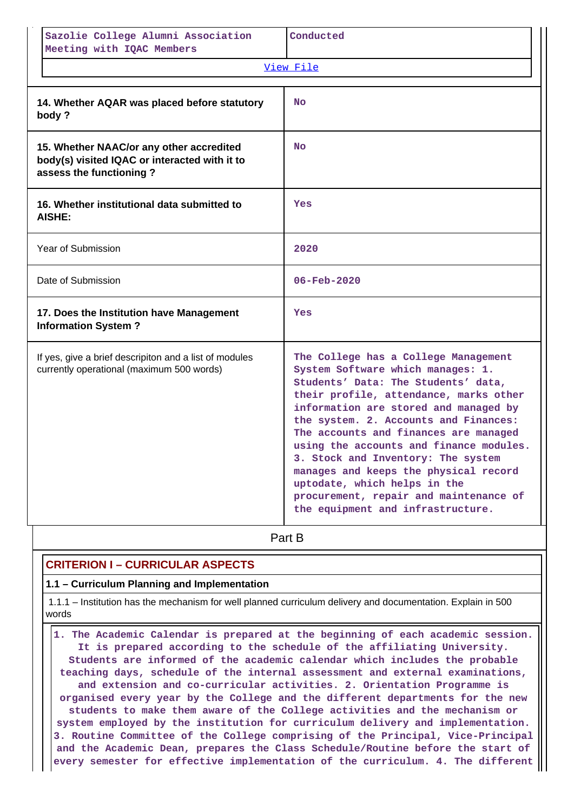| Sazolie College Alumni Association<br>Meeting with IQAC Members                                                      | Conducted                                                                                                                                                                                                                                                                                                                                                                                                                                                                                                                      |  |  |
|----------------------------------------------------------------------------------------------------------------------|--------------------------------------------------------------------------------------------------------------------------------------------------------------------------------------------------------------------------------------------------------------------------------------------------------------------------------------------------------------------------------------------------------------------------------------------------------------------------------------------------------------------------------|--|--|
|                                                                                                                      | View File                                                                                                                                                                                                                                                                                                                                                                                                                                                                                                                      |  |  |
| 14. Whether AQAR was placed before statutory<br>body?                                                                | <b>No</b>                                                                                                                                                                                                                                                                                                                                                                                                                                                                                                                      |  |  |
| 15. Whether NAAC/or any other accredited<br>body(s) visited IQAC or interacted with it to<br>assess the functioning? | <b>No</b>                                                                                                                                                                                                                                                                                                                                                                                                                                                                                                                      |  |  |
| 16. Whether institutional data submitted to<br><b>AISHE:</b>                                                         | Yes                                                                                                                                                                                                                                                                                                                                                                                                                                                                                                                            |  |  |
| <b>Year of Submission</b>                                                                                            | 2020                                                                                                                                                                                                                                                                                                                                                                                                                                                                                                                           |  |  |
| Date of Submission                                                                                                   | $06 - \text{Feb} - 2020$                                                                                                                                                                                                                                                                                                                                                                                                                                                                                                       |  |  |
| 17. Does the Institution have Management<br><b>Information System?</b>                                               | Yes                                                                                                                                                                                                                                                                                                                                                                                                                                                                                                                            |  |  |
| If yes, give a brief descripiton and a list of modules<br>currently operational (maximum 500 words)                  | The College has a College Management<br>System Software which manages: 1.<br>Students' Data: The Students' data,<br>their profile, attendance, marks other<br>information are stored and managed by<br>the system. 2. Accounts and Finances:<br>The accounts and finances are managed<br>using the accounts and finance modules.<br>3. Stock and Inventory: The system<br>manages and keeps the physical record<br>uptodate, which helps in the<br>procurement, repair and maintenance of<br>the equipment and infrastructure. |  |  |

**Part B** 

## **CRITERION I – CURRICULAR ASPECTS**

### **1.1 – Curriculum Planning and Implementation**

 1.1.1 – Institution has the mechanism for well planned curriculum delivery and documentation. Explain in 500 words

 **1. The Academic Calendar is prepared at the beginning of each academic session. It is prepared according to the schedule of the affiliating University. Students are informed of the academic calendar which includes the probable teaching days, schedule of the internal assessment and external examinations, and extension and co-curricular activities. 2. Orientation Programme is organised every year by the College and the different departments for the new students to make them aware of the College activities and the mechanism or system employed by the institution for curriculum delivery and implementation. 3. Routine Committee of the College comprising of the Principal, Vice-Principal and the Academic Dean, prepares the Class Schedule/Routine before the start of every semester for effective implementation of the curriculum. 4. The different**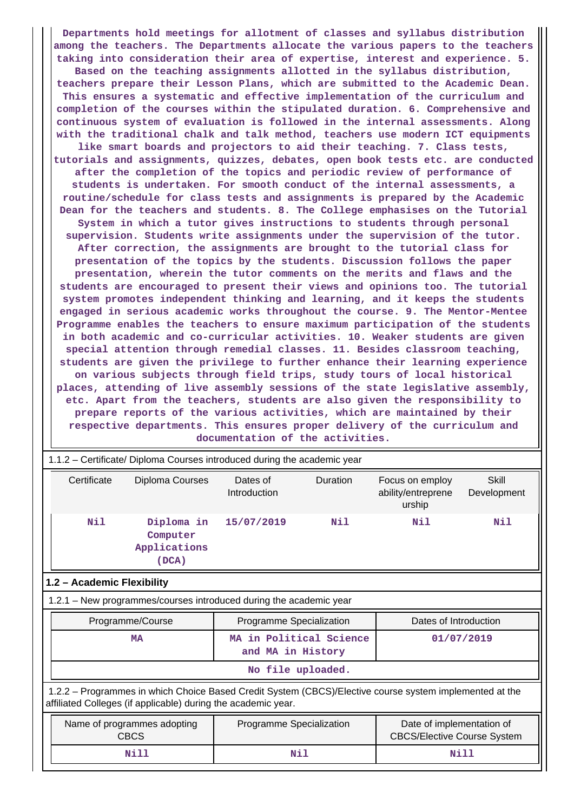**Departments hold meetings for allotment of classes and syllabus distribution among the teachers. The Departments allocate the various papers to the teachers taking into consideration their area of expertise, interest and experience. 5. Based on the teaching assignments allotted in the syllabus distribution, teachers prepare their Lesson Plans, which are submitted to the Academic Dean. This ensures a systematic and effective implementation of the curriculum and completion of the courses within the stipulated duration. 6. Comprehensive and continuous system of evaluation is followed in the internal assessments. Along with the traditional chalk and talk method, teachers use modern ICT equipments like smart boards and projectors to aid their teaching. 7. Class tests, tutorials and assignments, quizzes, debates, open book tests etc. are conducted after the completion of the topics and periodic review of performance of students is undertaken. For smooth conduct of the internal assessments, a routine/schedule for class tests and assignments is prepared by the Academic Dean for the teachers and students. 8. The College emphasises on the Tutorial System in which a tutor gives instructions to students through personal supervision. Students write assignments under the supervision of the tutor. After correction, the assignments are brought to the tutorial class for presentation of the topics by the students. Discussion follows the paper presentation, wherein the tutor comments on the merits and flaws and the students are encouraged to present their views and opinions too. The tutorial system promotes independent thinking and learning, and it keeps the students engaged in serious academic works throughout the course. 9. The Mentor-Mentee Programme enables the teachers to ensure maximum participation of the students in both academic and co-curricular activities. 10. Weaker students are given special attention through remedial classes. 11. Besides classroom teaching, students are given the privilege to further enhance their learning experience on various subjects through field trips, study tours of local historical places, attending of live assembly sessions of the state legislative assembly, etc. Apart from the teachers, students are also given the responsibility to prepare reports of the various activities, which are maintained by their respective departments. This ensures proper delivery of the curriculum and documentation of the activities.**

| 1.1.2 – Certificate/ Diploma Courses introduced during the academic year |                                                 |                          |          |                                                 |                      |  |  |
|--------------------------------------------------------------------------|-------------------------------------------------|--------------------------|----------|-------------------------------------------------|----------------------|--|--|
| Certificate                                                              | Diploma Courses                                 | Dates of<br>Introduction | Duration | Focus on employ<br>ability/entreprene<br>urship | Skill<br>Development |  |  |
| Nil                                                                      | Diploma in<br>Computer<br>Applications<br>(DCA) | 15/07/2019               | Nil      | Nil                                             | Nil                  |  |  |
| 1.2 - Academic Flexibility                                               |                                                 |                          |          |                                                 |                      |  |  |
| 1.2.1 – New programmes/courses introduced during the academic year       |                                                 |                          |          |                                                 |                      |  |  |
|                                                                          |                                                 |                          |          |                                                 |                      |  |  |

| Programme/Course | Programme Specialization                     | Dates of Introduction |
|------------------|----------------------------------------------|-----------------------|
| MA               | MA in Political Science<br>and MA in History | 01/07/2019            |
|                  | No file uploaded.                            |                       |

 1.2.2 – Programmes in which Choice Based Credit System (CBCS)/Elective course system implemented at the affiliated Colleges (if applicable) during the academic year.

| Name of programmes adopting<br><b>CBCS</b> | Programme Specialization | Date of implementation of<br><b>CBCS/Elective Course System</b> |
|--------------------------------------------|--------------------------|-----------------------------------------------------------------|
| Nill                                       | Nil                      | Nill                                                            |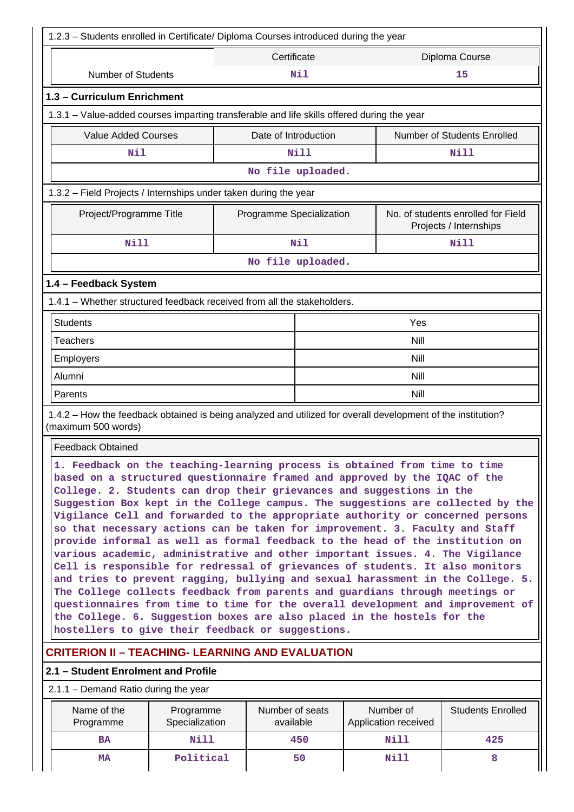|                                                                                                                                                                                                                                                                                                                                                                                                                                                                                                                                                                                                                                                                                                                                                                                                                                                                                                                                                                                                                                                                                                                                 |                             |                              |  | 1.2.3 – Students enrolled in Certificate/ Diploma Courses introduced during the year |                                                              |                             |
|---------------------------------------------------------------------------------------------------------------------------------------------------------------------------------------------------------------------------------------------------------------------------------------------------------------------------------------------------------------------------------------------------------------------------------------------------------------------------------------------------------------------------------------------------------------------------------------------------------------------------------------------------------------------------------------------------------------------------------------------------------------------------------------------------------------------------------------------------------------------------------------------------------------------------------------------------------------------------------------------------------------------------------------------------------------------------------------------------------------------------------|-----------------------------|------------------------------|--|--------------------------------------------------------------------------------------|--------------------------------------------------------------|-----------------------------|
|                                                                                                                                                                                                                                                                                                                                                                                                                                                                                                                                                                                                                                                                                                                                                                                                                                                                                                                                                                                                                                                                                                                                 |                             | Certificate                  |  |                                                                                      |                                                              | Diploma Course              |
| <b>Number of Students</b>                                                                                                                                                                                                                                                                                                                                                                                                                                                                                                                                                                                                                                                                                                                                                                                                                                                                                                                                                                                                                                                                                                       |                             | Nil                          |  |                                                                                      |                                                              | 15                          |
| 1.3 - Curriculum Enrichment                                                                                                                                                                                                                                                                                                                                                                                                                                                                                                                                                                                                                                                                                                                                                                                                                                                                                                                                                                                                                                                                                                     |                             |                              |  |                                                                                      |                                                              |                             |
| 1.3.1 - Value-added courses imparting transferable and life skills offered during the year                                                                                                                                                                                                                                                                                                                                                                                                                                                                                                                                                                                                                                                                                                                                                                                                                                                                                                                                                                                                                                      |                             |                              |  |                                                                                      |                                                              |                             |
| <b>Value Added Courses</b>                                                                                                                                                                                                                                                                                                                                                                                                                                                                                                                                                                                                                                                                                                                                                                                                                                                                                                                                                                                                                                                                                                      |                             | Date of Introduction         |  |                                                                                      |                                                              | Number of Students Enrolled |
| Nil                                                                                                                                                                                                                                                                                                                                                                                                                                                                                                                                                                                                                                                                                                                                                                                                                                                                                                                                                                                                                                                                                                                             |                             | <b>Nill</b>                  |  |                                                                                      |                                                              | Nill                        |
|                                                                                                                                                                                                                                                                                                                                                                                                                                                                                                                                                                                                                                                                                                                                                                                                                                                                                                                                                                                                                                                                                                                                 |                             | No file uploaded.            |  |                                                                                      |                                                              |                             |
| 1.3.2 - Field Projects / Internships under taken during the year                                                                                                                                                                                                                                                                                                                                                                                                                                                                                                                                                                                                                                                                                                                                                                                                                                                                                                                                                                                                                                                                |                             |                              |  |                                                                                      |                                                              |                             |
| Project/Programme Title                                                                                                                                                                                                                                                                                                                                                                                                                                                                                                                                                                                                                                                                                                                                                                                                                                                                                                                                                                                                                                                                                                         |                             | Programme Specialization     |  |                                                                                      | No. of students enrolled for Field<br>Projects / Internships |                             |
| Nill                                                                                                                                                                                                                                                                                                                                                                                                                                                                                                                                                                                                                                                                                                                                                                                                                                                                                                                                                                                                                                                                                                                            |                             | Nil                          |  |                                                                                      |                                                              | <b>Nill</b>                 |
|                                                                                                                                                                                                                                                                                                                                                                                                                                                                                                                                                                                                                                                                                                                                                                                                                                                                                                                                                                                                                                                                                                                                 |                             | No file uploaded.            |  |                                                                                      |                                                              |                             |
| 1.4 - Feedback System                                                                                                                                                                                                                                                                                                                                                                                                                                                                                                                                                                                                                                                                                                                                                                                                                                                                                                                                                                                                                                                                                                           |                             |                              |  |                                                                                      |                                                              |                             |
| 1.4.1 – Whether structured feedback received from all the stakeholders.                                                                                                                                                                                                                                                                                                                                                                                                                                                                                                                                                                                                                                                                                                                                                                                                                                                                                                                                                                                                                                                         |                             |                              |  |                                                                                      |                                                              |                             |
| <b>Students</b>                                                                                                                                                                                                                                                                                                                                                                                                                                                                                                                                                                                                                                                                                                                                                                                                                                                                                                                                                                                                                                                                                                                 |                             |                              |  |                                                                                      | Yes                                                          |                             |
| <b>Teachers</b>                                                                                                                                                                                                                                                                                                                                                                                                                                                                                                                                                                                                                                                                                                                                                                                                                                                                                                                                                                                                                                                                                                                 |                             |                              |  | Nill                                                                                 |                                                              |                             |
| Employers                                                                                                                                                                                                                                                                                                                                                                                                                                                                                                                                                                                                                                                                                                                                                                                                                                                                                                                                                                                                                                                                                                                       |                             |                              |  |                                                                                      | Nill                                                         |                             |
| Alumni                                                                                                                                                                                                                                                                                                                                                                                                                                                                                                                                                                                                                                                                                                                                                                                                                                                                                                                                                                                                                                                                                                                          |                             |                              |  |                                                                                      | Nill                                                         |                             |
| Parents<br>Nill                                                                                                                                                                                                                                                                                                                                                                                                                                                                                                                                                                                                                                                                                                                                                                                                                                                                                                                                                                                                                                                                                                                 |                             |                              |  |                                                                                      |                                                              |                             |
|                                                                                                                                                                                                                                                                                                                                                                                                                                                                                                                                                                                                                                                                                                                                                                                                                                                                                                                                                                                                                                                                                                                                 |                             |                              |  |                                                                                      |                                                              |                             |
| 1.4.2 - How the feedback obtained is being analyzed and utilized for overall development of the institution?<br>(maximum 500 words)                                                                                                                                                                                                                                                                                                                                                                                                                                                                                                                                                                                                                                                                                                                                                                                                                                                                                                                                                                                             |                             |                              |  |                                                                                      |                                                              |                             |
| <b>Feedback Obtained</b>                                                                                                                                                                                                                                                                                                                                                                                                                                                                                                                                                                                                                                                                                                                                                                                                                                                                                                                                                                                                                                                                                                        |                             |                              |  |                                                                                      |                                                              |                             |
| 1. Feedback on the teaching-learning process is obtained from time to time<br>based on a structured questionnaire framed and approved by the IQAC of the<br>College. 2. Students can drop their grievances and suggestions in the<br>Suggestion Box kept in the College campus. The suggestions are collected by the<br>Vigilance Cell and forwarded to the appropriate authority or concerned persons<br>so that necessary actions can be taken for improvement. 3. Faculty and Staff<br>provide informal as well as formal feedback to the head of the institution on<br>various academic, administrative and other important issues. 4. The Vigilance<br>Cell is responsible for redressal of grievances of students. It also monitors<br>and tries to prevent ragging, bullying and sexual harassment in the College. 5.<br>The College collects feedback from parents and guardians through meetings or<br>questionnaires from time to time for the overall development and improvement of<br>the College. 6. Suggestion boxes are also placed in the hostels for the<br>hostellers to give their feedback or suggestions. |                             |                              |  |                                                                                      |                                                              |                             |
| <b>CRITERION II - TEACHING- LEARNING AND EVALUATION</b>                                                                                                                                                                                                                                                                                                                                                                                                                                                                                                                                                                                                                                                                                                                                                                                                                                                                                                                                                                                                                                                                         |                             |                              |  |                                                                                      |                                                              |                             |
| 2.1 - Student Enrolment and Profile                                                                                                                                                                                                                                                                                                                                                                                                                                                                                                                                                                                                                                                                                                                                                                                                                                                                                                                                                                                                                                                                                             |                             |                              |  |                                                                                      |                                                              |                             |
| 2.1.1 - Demand Ratio during the year                                                                                                                                                                                                                                                                                                                                                                                                                                                                                                                                                                                                                                                                                                                                                                                                                                                                                                                                                                                                                                                                                            |                             |                              |  |                                                                                      |                                                              |                             |
| Name of the<br>Programme                                                                                                                                                                                                                                                                                                                                                                                                                                                                                                                                                                                                                                                                                                                                                                                                                                                                                                                                                                                                                                                                                                        | Programme<br>Specialization | Number of seats<br>available |  |                                                                                      | Number of<br>Application received                            | <b>Students Enrolled</b>    |
| <b>BA</b>                                                                                                                                                                                                                                                                                                                                                                                                                                                                                                                                                                                                                                                                                                                                                                                                                                                                                                                                                                                                                                                                                                                       | Nill                        | 450                          |  |                                                                                      | Nill                                                         | 425                         |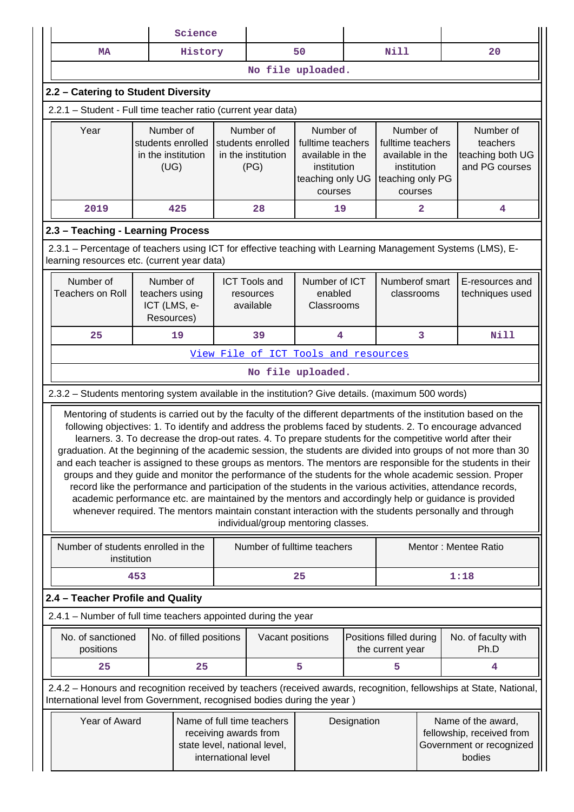|                                                                                                                                                           |             | Science                                                      |                     |                                                                                                                                                                  |                                        |                                                                                                  |                                             |              |                                                                                                                                                                                                                                                                                                                                                                                                                                                                                                                                                                                                                                                                                                                                                                                                                                                                                                                                                                                                                             |
|-----------------------------------------------------------------------------------------------------------------------------------------------------------|-------------|--------------------------------------------------------------|---------------------|------------------------------------------------------------------------------------------------------------------------------------------------------------------|----------------------------------------|--------------------------------------------------------------------------------------------------|---------------------------------------------|--------------|-----------------------------------------------------------------------------------------------------------------------------------------------------------------------------------------------------------------------------------------------------------------------------------------------------------------------------------------------------------------------------------------------------------------------------------------------------------------------------------------------------------------------------------------------------------------------------------------------------------------------------------------------------------------------------------------------------------------------------------------------------------------------------------------------------------------------------------------------------------------------------------------------------------------------------------------------------------------------------------------------------------------------------|
| <b>MA</b>                                                                                                                                                 |             | History                                                      |                     |                                                                                                                                                                  | <b>Nill</b><br>50                      |                                                                                                  |                                             |              | 20                                                                                                                                                                                                                                                                                                                                                                                                                                                                                                                                                                                                                                                                                                                                                                                                                                                                                                                                                                                                                          |
|                                                                                                                                                           |             |                                                              |                     |                                                                                                                                                                  | No file uploaded.                      |                                                                                                  |                                             |              |                                                                                                                                                                                                                                                                                                                                                                                                                                                                                                                                                                                                                                                                                                                                                                                                                                                                                                                                                                                                                             |
| 2.2 - Catering to Student Diversity                                                                                                                       |             |                                                              |                     |                                                                                                                                                                  |                                        |                                                                                                  |                                             |              |                                                                                                                                                                                                                                                                                                                                                                                                                                                                                                                                                                                                                                                                                                                                                                                                                                                                                                                                                                                                                             |
| 2.2.1 - Student - Full time teacher ratio (current year data)                                                                                             |             |                                                              |                     |                                                                                                                                                                  |                                        |                                                                                                  |                                             |              |                                                                                                                                                                                                                                                                                                                                                                                                                                                                                                                                                                                                                                                                                                                                                                                                                                                                                                                                                                                                                             |
| Year                                                                                                                                                      |             | Number of<br>students enrolled<br>in the institution<br>(UG) |                     | Number of<br>Number of<br>students enrolled<br>fulltime teachers<br>in the institution<br>available in the<br>(PG)<br>institution<br>teaching only UG<br>courses |                                        | Number of<br>fulltime teachers<br>available in the<br>institution<br>teaching only PG<br>courses |                                             |              | Number of<br>teachers<br>teaching both UG<br>and PG courses                                                                                                                                                                                                                                                                                                                                                                                                                                                                                                                                                                                                                                                                                                                                                                                                                                                                                                                                                                 |
| 2019                                                                                                                                                      |             | 425                                                          |                     | 28                                                                                                                                                               | 19                                     |                                                                                                  |                                             | $\mathbf{2}$ | $\overline{4}$                                                                                                                                                                                                                                                                                                                                                                                                                                                                                                                                                                                                                                                                                                                                                                                                                                                                                                                                                                                                              |
| 2.3 - Teaching - Learning Process                                                                                                                         |             |                                                              |                     |                                                                                                                                                                  |                                        |                                                                                                  |                                             |              |                                                                                                                                                                                                                                                                                                                                                                                                                                                                                                                                                                                                                                                                                                                                                                                                                                                                                                                                                                                                                             |
| 2.3.1 – Percentage of teachers using ICT for effective teaching with Learning Management Systems (LMS), E-<br>learning resources etc. (current year data) |             |                                                              |                     |                                                                                                                                                                  |                                        |                                                                                                  |                                             |              |                                                                                                                                                                                                                                                                                                                                                                                                                                                                                                                                                                                                                                                                                                                                                                                                                                                                                                                                                                                                                             |
| Number of<br><b>Teachers on Roll</b>                                                                                                                      |             | Number of<br>teachers using<br>ICT (LMS, e-<br>Resources)    |                     | <b>ICT Tools and</b><br>resources<br>available                                                                                                                   | Number of ICT<br>enabled<br>Classrooms |                                                                                                  | Numberof smart<br>classrooms                |              | E-resources and<br>techniques used                                                                                                                                                                                                                                                                                                                                                                                                                                                                                                                                                                                                                                                                                                                                                                                                                                                                                                                                                                                          |
| 25                                                                                                                                                        |             | 19                                                           |                     | 39                                                                                                                                                               | 4                                      |                                                                                                  |                                             | 3            | Nill                                                                                                                                                                                                                                                                                                                                                                                                                                                                                                                                                                                                                                                                                                                                                                                                                                                                                                                                                                                                                        |
|                                                                                                                                                           |             |                                                              |                     |                                                                                                                                                                  | View File of ICT Tools and resources   |                                                                                                  |                                             |              |                                                                                                                                                                                                                                                                                                                                                                                                                                                                                                                                                                                                                                                                                                                                                                                                                                                                                                                                                                                                                             |
|                                                                                                                                                           |             |                                                              |                     |                                                                                                                                                                  | No file uploaded.                      |                                                                                                  |                                             |              |                                                                                                                                                                                                                                                                                                                                                                                                                                                                                                                                                                                                                                                                                                                                                                                                                                                                                                                                                                                                                             |
| 2.3.2 - Students mentoring system available in the institution? Give details. (maximum 500 words)                                                         |             |                                                              |                     |                                                                                                                                                                  |                                        |                                                                                                  |                                             |              |                                                                                                                                                                                                                                                                                                                                                                                                                                                                                                                                                                                                                                                                                                                                                                                                                                                                                                                                                                                                                             |
|                                                                                                                                                           |             |                                                              |                     |                                                                                                                                                                  | individual/group mentoring classes.    |                                                                                                  |                                             |              | Mentoring of students is carried out by the faculty of the different departments of the institution based on the<br>following objectives: 1. To identify and address the problems faced by students. 2. To encourage advanced<br>learners. 3. To decrease the drop-out rates. 4. To prepare students for the competitive world after their<br>graduation. At the beginning of the academic session, the students are divided into groups of not more than 30<br>and each teacher is assigned to these groups as mentors. The mentors are responsible for the students in their<br>groups and they guide and monitor the performance of the students for the whole academic session. Proper<br>record like the performance and participation of the students in the various activities, attendance records,<br>academic performance etc. are maintained by the mentors and accordingly help or guidance is provided<br>whenever required. The mentors maintain constant interaction with the students personally and through |
| Number of students enrolled in the                                                                                                                        | institution |                                                              |                     |                                                                                                                                                                  | Number of fulltime teachers            |                                                                                                  |                                             |              | Mentor: Mentee Ratio                                                                                                                                                                                                                                                                                                                                                                                                                                                                                                                                                                                                                                                                                                                                                                                                                                                                                                                                                                                                        |
|                                                                                                                                                           | 453         |                                                              |                     |                                                                                                                                                                  | 25                                     |                                                                                                  |                                             |              | 1:18                                                                                                                                                                                                                                                                                                                                                                                                                                                                                                                                                                                                                                                                                                                                                                                                                                                                                                                                                                                                                        |
| 2.4 - Teacher Profile and Quality                                                                                                                         |             |                                                              |                     |                                                                                                                                                                  |                                        |                                                                                                  |                                             |              |                                                                                                                                                                                                                                                                                                                                                                                                                                                                                                                                                                                                                                                                                                                                                                                                                                                                                                                                                                                                                             |
| 2.4.1 - Number of full time teachers appointed during the year                                                                                            |             |                                                              |                     |                                                                                                                                                                  |                                        |                                                                                                  |                                             |              |                                                                                                                                                                                                                                                                                                                                                                                                                                                                                                                                                                                                                                                                                                                                                                                                                                                                                                                                                                                                                             |
| No. of sanctioned<br>positions                                                                                                                            |             | No. of filled positions                                      |                     | Vacant positions                                                                                                                                                 |                                        |                                                                                                  | Positions filled during<br>the current year |              | No. of faculty with<br>Ph.D                                                                                                                                                                                                                                                                                                                                                                                                                                                                                                                                                                                                                                                                                                                                                                                                                                                                                                                                                                                                 |
| 25                                                                                                                                                        |             | 25                                                           |                     |                                                                                                                                                                  | 5                                      |                                                                                                  | 5                                           |              | 4                                                                                                                                                                                                                                                                                                                                                                                                                                                                                                                                                                                                                                                                                                                                                                                                                                                                                                                                                                                                                           |
| International level from Government, recognised bodies during the year)                                                                                   |             |                                                              |                     |                                                                                                                                                                  |                                        |                                                                                                  |                                             |              | 2.4.2 - Honours and recognition received by teachers (received awards, recognition, fellowships at State, National,                                                                                                                                                                                                                                                                                                                                                                                                                                                                                                                                                                                                                                                                                                                                                                                                                                                                                                         |
| Year of Award                                                                                                                                             |             |                                                              | international level | Name of full time teachers<br>receiving awards from<br>state level, national level,                                                                              |                                        | Designation                                                                                      |                                             |              | Name of the award,<br>fellowship, received from<br>Government or recognized<br>bodies                                                                                                                                                                                                                                                                                                                                                                                                                                                                                                                                                                                                                                                                                                                                                                                                                                                                                                                                       |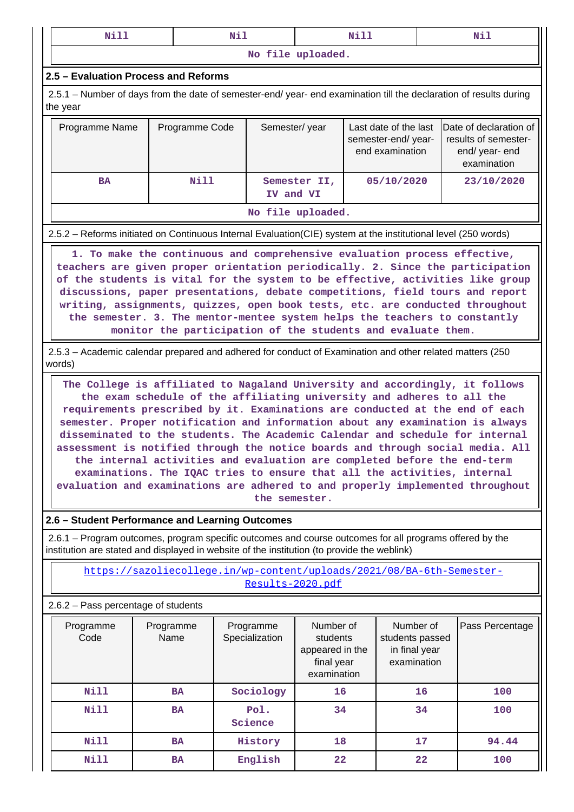| Nill                                                                                                                           | Nil                                                                                                                                                                                                                                                                                                                                                                                                                                                                                                                                                           |                   | Nill                                    |                                                                | Nil |                                                                               |
|--------------------------------------------------------------------------------------------------------------------------------|---------------------------------------------------------------------------------------------------------------------------------------------------------------------------------------------------------------------------------------------------------------------------------------------------------------------------------------------------------------------------------------------------------------------------------------------------------------------------------------------------------------------------------------------------------------|-------------------|-----------------------------------------|----------------------------------------------------------------|-----|-------------------------------------------------------------------------------|
|                                                                                                                                |                                                                                                                                                                                                                                                                                                                                                                                                                                                                                                                                                               | No file uploaded. |                                         |                                                                |     |                                                                               |
| 2.5 - Evaluation Process and Reforms                                                                                           |                                                                                                                                                                                                                                                                                                                                                                                                                                                                                                                                                               |                   |                                         |                                                                |     |                                                                               |
| 2.5.1 – Number of days from the date of semester-end/ year- end examination till the declaration of results during<br>the year |                                                                                                                                                                                                                                                                                                                                                                                                                                                                                                                                                               |                   |                                         |                                                                |     |                                                                               |
| Programme Name                                                                                                                 | Programme Code                                                                                                                                                                                                                                                                                                                                                                                                                                                                                                                                                | Semester/year     |                                         | Last date of the last<br>semester-end/year-<br>end examination |     | Date of declaration of<br>results of semester-<br>end/year-end<br>examination |
| <b>BA</b>                                                                                                                      | Nill                                                                                                                                                                                                                                                                                                                                                                                                                                                                                                                                                          |                   | Semester II,<br>05/10/2020<br>IV and VI |                                                                |     | 23/10/2020                                                                    |
|                                                                                                                                |                                                                                                                                                                                                                                                                                                                                                                                                                                                                                                                                                               | No file uploaded. |                                         |                                                                |     |                                                                               |
| 2.5.2 – Reforms initiated on Continuous Internal Evaluation (CIE) system at the institutional level (250 words)                |                                                                                                                                                                                                                                                                                                                                                                                                                                                                                                                                                               |                   |                                         |                                                                |     |                                                                               |
|                                                                                                                                | 1. To make the continuous and comprehensive evaluation process effective,<br>teachers are given proper orientation periodically. 2. Since the participation<br>of the students is vital for the system to be effective, activities like group<br>discussions, paper presentations, debate competitions, field tours and report<br>writing, assignments, quizzes, open book tests, etc. are conducted throughout<br>the semester. 3. The mentor-mentee system helps the teachers to constantly<br>monitor the participation of the students and evaluate them. |                   |                                         |                                                                |     |                                                                               |
| 2.5.3 – Academic calendar prepared and adhered for conduct of Examination and other related matters (250<br>words)             |                                                                                                                                                                                                                                                                                                                                                                                                                                                                                                                                                               |                   |                                         |                                                                |     |                                                                               |
|                                                                                                                                | The College is affiliated to Nagaland University and accordingly, it follows<br>the exam schedule of the affiliating university and adheres to all the<br>requirements prescribed by it. Examinations are conducted at the end of each<br>semester. Proper notification and information about any examination is always<br>disseminated to the students. The Academic Calendar and schedule for internal<br>assessment is notified through the notice boards and through social media. All                                                                    |                   |                                         |                                                                |     |                                                                               |

**the internal activities and evaluation are completed before the end-term examinations. The IQAC tries to ensure that all the activities, internal evaluation and examinations are adhered to and properly implemented throughout the semester.**

## **2.6 – Student Performance and Learning Outcomes**

 2.6.1 – Program outcomes, program specific outcomes and course outcomes for all programs offered by the institution are stated and displayed in website of the institution (to provide the weblink)

 [https://sazoliecollege.in/wp-content/uploads/2021/08/BA-6th-Semester-](https://sazoliecollege.in/wp-content/uploads/2021/08/BA-6th-Semester-Results-2020.pdf)[Results-2020.pdf](https://sazoliecollege.in/wp-content/uploads/2021/08/BA-6th-Semester-Results-2020.pdf)

## 2.6.2 – Pass percentage of students

| Programme<br>Code | Programme<br>Name | Programme<br>Specialization | Number of<br>students<br>appeared in the<br>final year<br>examination | Number of<br>students passed<br>in final year<br>examination | Pass Percentage |
|-------------------|-------------------|-----------------------------|-----------------------------------------------------------------------|--------------------------------------------------------------|-----------------|
| Nill              | <b>BA</b>         | Sociology                   | 16                                                                    | 16                                                           | 100             |
| <b>Nill</b>       | <b>BA</b>         | Pol.<br>Science             | 34                                                                    | 34                                                           | 100             |
| Nill              | <b>BA</b>         | History                     | 18                                                                    | 17                                                           | 94.44           |
| <b>Nill</b>       | <b>BA</b>         | English                     | 22                                                                    | 22                                                           | 100             |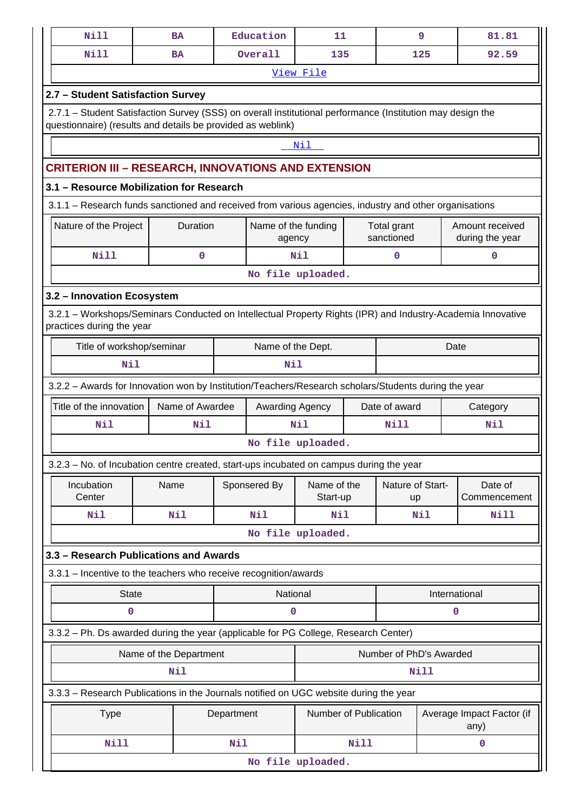| <b>Nill</b>                                                                                                                                                               | <b>BA</b>                                              |            | Education                     | 11                    |      |                           | 9    | 81.81                              |
|---------------------------------------------------------------------------------------------------------------------------------------------------------------------------|--------------------------------------------------------|------------|-------------------------------|-----------------------|------|---------------------------|------|------------------------------------|
| <b>Nill</b>                                                                                                                                                               | <b>BA</b>                                              |            | Overall                       | 135                   |      |                           | 125  | 92.59                              |
|                                                                                                                                                                           |                                                        |            |                               | View File             |      |                           |      |                                    |
| 2.7 - Student Satisfaction Survey                                                                                                                                         |                                                        |            |                               |                       |      |                           |      |                                    |
| 2.7.1 – Student Satisfaction Survey (SSS) on overall institutional performance (Institution may design the<br>questionnaire) (results and details be provided as weblink) |                                                        |            |                               |                       |      |                           |      |                                    |
|                                                                                                                                                                           |                                                        |            |                               | Nil                   |      |                           |      |                                    |
| <b>CRITERION III – RESEARCH, INNOVATIONS AND EXTENSION</b>                                                                                                                |                                                        |            |                               |                       |      |                           |      |                                    |
| 3.1 - Resource Mobilization for Research                                                                                                                                  |                                                        |            |                               |                       |      |                           |      |                                    |
| 3.1.1 – Research funds sanctioned and received from various agencies, industry and other organisations                                                                    |                                                        |            |                               |                       |      |                           |      |                                    |
| Nature of the Project                                                                                                                                                     | Duration                                               |            | Name of the funding<br>agency |                       |      | Total grant<br>sanctioned |      | Amount received<br>during the year |
| <b>Nill</b>                                                                                                                                                               | $\pmb{0}$                                              |            |                               | Nil                   |      | 0                         |      | 0                                  |
|                                                                                                                                                                           |                                                        |            |                               | No file uploaded.     |      |                           |      |                                    |
| 3.2 - Innovation Ecosystem                                                                                                                                                |                                                        |            |                               |                       |      |                           |      |                                    |
| 3.2.1 - Workshops/Seminars Conducted on Intellectual Property Rights (IPR) and Industry-Academia Innovative<br>practices during the year                                  |                                                        |            |                               |                       |      |                           |      |                                    |
|                                                                                                                                                                           | Title of workshop/seminar<br>Name of the Dept.<br>Date |            |                               |                       |      |                           |      |                                    |
| Nil                                                                                                                                                                       |                                                        |            | Nil                           |                       |      |                           |      |                                    |
| 3.2.2 - Awards for Innovation won by Institution/Teachers/Research scholars/Students during the year                                                                      |                                                        |            |                               |                       |      |                           |      |                                    |
| Title of the innovation                                                                                                                                                   | Name of Awardee                                        |            | Awarding Agency               |                       |      | Date of award             |      | Category                           |
| Nil                                                                                                                                                                       | Nil                                                    |            |                               | Nil                   |      | Nill                      |      | Nil                                |
|                                                                                                                                                                           |                                                        |            |                               | No file uploaded.     |      |                           |      |                                    |
| 3.2.3 - No. of Incubation centre created, start-ups incubated on campus during the year                                                                                   |                                                        |            |                               |                       |      |                           |      |                                    |
| Incubation                                                                                                                                                                | Name                                                   |            | Sponsered By                  | Name of the           |      | Nature of Start-          |      | Date of                            |
| Center<br>Nil                                                                                                                                                             | Nil                                                    |            | Nil                           | Start-up<br>Nil       |      | up                        | Nil  | Commencement<br><b>Nill</b>        |
|                                                                                                                                                                           |                                                        |            |                               | No file uploaded.     |      |                           |      |                                    |
| 3.3 - Research Publications and Awards                                                                                                                                    |                                                        |            |                               |                       |      |                           |      |                                    |
| 3.3.1 - Incentive to the teachers who receive recognition/awards                                                                                                          |                                                        |            |                               |                       |      |                           |      |                                    |
| <b>State</b>                                                                                                                                                              |                                                        |            | National                      |                       |      |                           |      | International                      |
| 0                                                                                                                                                                         |                                                        |            | 0                             |                       |      |                           |      | 0                                  |
| 3.3.2 - Ph. Ds awarded during the year (applicable for PG College, Research Center)                                                                                       |                                                        |            |                               |                       |      |                           |      |                                    |
|                                                                                                                                                                           | Name of the Department                                 |            |                               |                       |      | Number of PhD's Awarded   |      |                                    |
|                                                                                                                                                                           | Nil                                                    |            |                               |                       |      |                           | Nill |                                    |
| 3.3.3 - Research Publications in the Journals notified on UGC website during the year                                                                                     |                                                        |            |                               |                       |      |                           |      |                                    |
| <b>Type</b>                                                                                                                                                               |                                                        | Department |                               | Number of Publication |      |                           |      | Average Impact Factor (if<br>any)  |
| <b>Nill</b>                                                                                                                                                               |                                                        | Nil        |                               |                       | Nill |                           |      | 0                                  |
|                                                                                                                                                                           |                                                        |            |                               | No file uploaded.     |      |                           |      |                                    |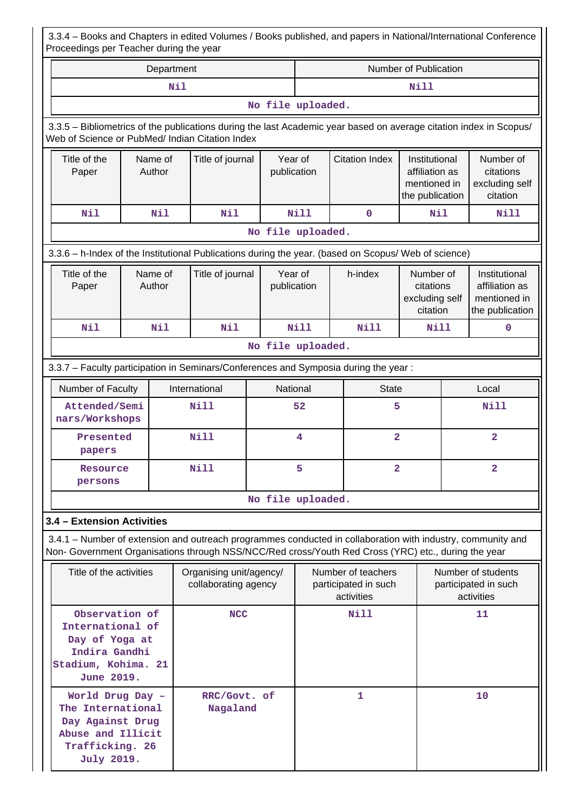| 3.3.4 - Books and Chapters in edited Volumes / Books published, and papers in National/International Conference<br>Proceedings per Teacher during the year                                                         |                                                                                                            |               |                                                 |                   |             |                                                          |                                                                    |  |                                                                    |  |
|--------------------------------------------------------------------------------------------------------------------------------------------------------------------------------------------------------------------|------------------------------------------------------------------------------------------------------------|---------------|-------------------------------------------------|-------------------|-------------|----------------------------------------------------------|--------------------------------------------------------------------|--|--------------------------------------------------------------------|--|
|                                                                                                                                                                                                                    |                                                                                                            | Department    |                                                 |                   |             |                                                          | Number of Publication                                              |  |                                                                    |  |
|                                                                                                                                                                                                                    |                                                                                                            | Nil           |                                                 |                   | Nill        |                                                          |                                                                    |  |                                                                    |  |
|                                                                                                                                                                                                                    |                                                                                                            |               |                                                 | No file uploaded. |             |                                                          |                                                                    |  |                                                                    |  |
| 3.3.5 - Bibliometrics of the publications during the last Academic year based on average citation index in Scopus/<br>Web of Science or PubMed/ Indian Citation Index                                              |                                                                                                            |               |                                                 |                   |             |                                                          |                                                                    |  |                                                                    |  |
| Title of the<br>Paper                                                                                                                                                                                              | Name of<br>Author                                                                                          |               | Title of journal                                | publication       | Year of     | <b>Citation Index</b>                                    | Institutional<br>affiliation as<br>mentioned in<br>the publication |  | Number of<br>citations<br>excluding self<br>citation               |  |
| Nil                                                                                                                                                                                                                | Nil                                                                                                        |               | Nil                                             |                   | <b>Nill</b> | $\mathbf 0$                                              | Nil                                                                |  | <b>Nill</b>                                                        |  |
|                                                                                                                                                                                                                    |                                                                                                            |               |                                                 | No file uploaded. |             |                                                          |                                                                    |  |                                                                    |  |
| 3.3.6 - h-Index of the Institutional Publications during the year. (based on Scopus/ Web of science)                                                                                                               |                                                                                                            |               |                                                 |                   |             |                                                          |                                                                    |  |                                                                    |  |
| Title of the<br>Paper                                                                                                                                                                                              | Name of<br>Author                                                                                          |               | Title of journal                                | publication       | Year of     | h-index                                                  | Number of<br>citations<br>excluding self<br>citation               |  | Institutional<br>affiliation as<br>mentioned in<br>the publication |  |
| Nil                                                                                                                                                                                                                | Nil                                                                                                        | Nil           |                                                 |                   | <b>Nill</b> | <b>Nill</b>                                              | Nill                                                               |  | $\mathbf{0}$                                                       |  |
|                                                                                                                                                                                                                    |                                                                                                            |               |                                                 | No file uploaded. |             |                                                          |                                                                    |  |                                                                    |  |
| 3.3.7 - Faculty participation in Seminars/Conferences and Symposia during the year:                                                                                                                                |                                                                                                            |               |                                                 |                   |             |                                                          |                                                                    |  |                                                                    |  |
| Number of Faculty                                                                                                                                                                                                  |                                                                                                            | International |                                                 |                   | National    |                                                          | <b>State</b>                                                       |  | Local                                                              |  |
| Attended/Semi<br>nars/Workshops                                                                                                                                                                                    |                                                                                                            | Nill          |                                                 | 52                |             |                                                          | 5                                                                  |  | <b>Nill</b>                                                        |  |
| Presented<br>papers                                                                                                                                                                                                |                                                                                                            | Nill          |                                                 | 4                 |             |                                                          | $\overline{\mathbf{2}}$                                            |  | $\overline{\mathbf{2}}$                                            |  |
| Resource<br>persons                                                                                                                                                                                                |                                                                                                            | <b>Nill</b>   |                                                 | 5                 |             |                                                          | $\overline{\mathbf{2}}$                                            |  | $\overline{\mathbf{2}}$                                            |  |
|                                                                                                                                                                                                                    |                                                                                                            |               |                                                 | No file uploaded. |             |                                                          |                                                                    |  |                                                                    |  |
| 3.4 - Extension Activities                                                                                                                                                                                         |                                                                                                            |               |                                                 |                   |             |                                                          |                                                                    |  |                                                                    |  |
| 3.4.1 – Number of extension and outreach programmes conducted in collaboration with industry, community and<br>Non- Government Organisations through NSS/NCC/Red cross/Youth Red Cross (YRC) etc., during the year |                                                                                                            |               |                                                 |                   |             |                                                          |                                                                    |  |                                                                    |  |
| Title of the activities                                                                                                                                                                                            |                                                                                                            |               | Organising unit/agency/<br>collaborating agency |                   |             | Number of teachers<br>participated in such<br>activities |                                                                    |  | Number of students<br>participated in such<br>activities           |  |
|                                                                                                                                                                                                                    | Observation of<br>International of<br>Day of Yoga at<br>Indira Gandhi<br>Stadium, Kohima. 21<br>June 2019. |               | <b>NCC</b>                                      |                   |             | Nill                                                     |                                                                    |  | 11                                                                 |  |
| World Drug Day -<br>The International<br>Day Against Drug<br>Abuse and Illicit<br>Trafficking. 26<br>July 2019.                                                                                                    |                                                                                                            |               | RRC/Govt. of<br>Nagaland                        |                   |             | 1                                                        |                                                                    |  | 10                                                                 |  |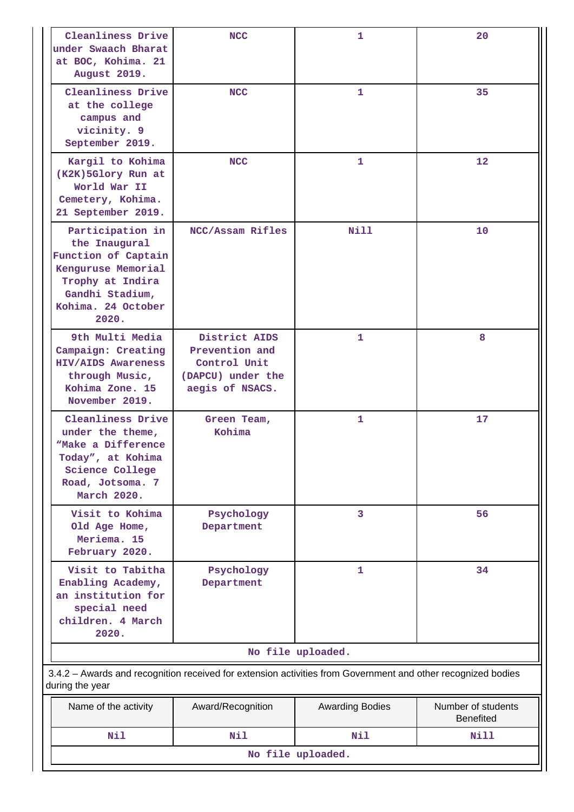| Cleanliness Drive<br>under Swaach Bharat<br>at BOC, Kohima. 21<br>August 2019.                                                                       | <b>NCC</b>                                                                              | 1                      | 20                                     |
|------------------------------------------------------------------------------------------------------------------------------------------------------|-----------------------------------------------------------------------------------------|------------------------|----------------------------------------|
| Cleanliness Drive<br>at the college<br>campus and<br>vicinity. 9<br>September 2019.                                                                  | <b>NCC</b>                                                                              | 1                      | 35                                     |
| Kargil to Kohima<br>(K2K)5Glory Run at<br>World War II<br>Cemetery, Kohima.<br>21 September 2019.                                                    | <b>NCC</b>                                                                              | 1                      | 12                                     |
| Participation in<br>the Inaugural<br>Function of Captain<br>Kenguruse Memorial<br>Trophy at Indira<br>Gandhi Stadium,<br>Kohima. 24 October<br>2020. | NCC/Assam Rifles                                                                        | Nill                   | 10                                     |
| 9th Multi Media<br>Campaign: Creating<br><b>HIV/AIDS Awareness</b><br>through Music,<br>Kohima Zone. 15<br>November 2019.                            | District AIDS<br>Prevention and<br>Control Unit<br>(DAPCU) under the<br>aegis of NSACS. | $\mathbf{1}$           | 8                                      |
| Cleanliness Drive<br>under the theme,<br>"Make a Difference<br>Today", at Kohima<br>Science College<br>Road, Jotsoma. 7<br>March 2020.               | Green Team,<br>Kohima                                                                   | $\mathbf{1}$           | 17                                     |
| Visit to Kohima<br>Old Age Home,<br>Meriema. 15<br>February 2020.                                                                                    | Psychology<br>Department                                                                | 3                      | 56                                     |
| Visit to Tabitha<br>Enabling Academy,<br>an institution for<br>special need<br>children. 4 March<br>2020.                                            | Psychology<br>Department                                                                | $\mathbf{1}$           | 34                                     |
|                                                                                                                                                      |                                                                                         | No file uploaded.      |                                        |
| 3.4.2 - Awards and recognition received for extension activities from Government and other recognized bodies<br>during the year                      |                                                                                         |                        |                                        |
| Name of the activity                                                                                                                                 | Award/Recognition                                                                       | <b>Awarding Bodies</b> | Number of students<br><b>Benefited</b> |
| <b>Nil</b>                                                                                                                                           | Nil                                                                                     | Nil                    | Nill                                   |
|                                                                                                                                                      |                                                                                         | No file uploaded.      |                                        |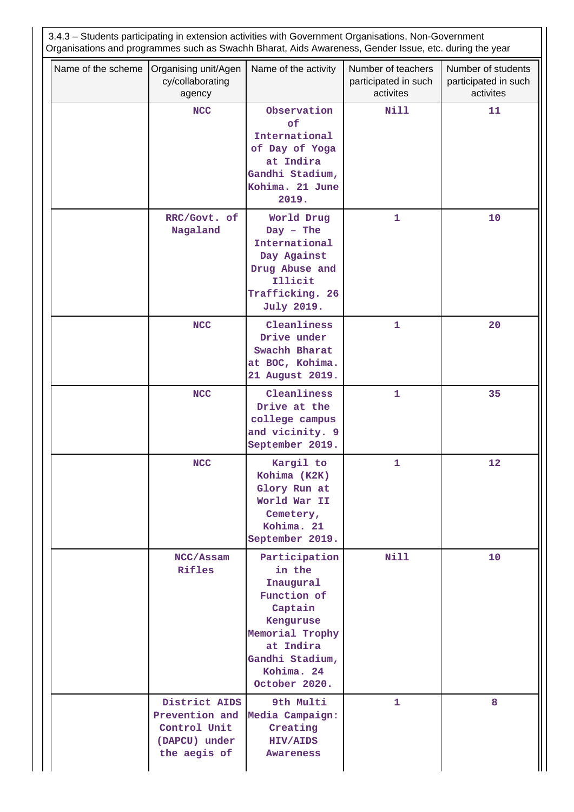| Name of the scheme | Organisations and programmes such as Swachh Bharat, Aids Awareness, Gender Issue, etc. during the year<br>Organising unit/Agen | Name of the activity                                                                                                                                          | Number of teachers                | Number of students                |  |
|--------------------|--------------------------------------------------------------------------------------------------------------------------------|---------------------------------------------------------------------------------------------------------------------------------------------------------------|-----------------------------------|-----------------------------------|--|
|                    | cy/collaborating<br>agency                                                                                                     |                                                                                                                                                               | participated in such<br>activites | participated in such<br>activites |  |
|                    | <b>NCC</b>                                                                                                                     | Observation<br>of<br>International<br>of Day of Yoga<br>at Indira<br>Gandhi Stadium,<br>Kohima. 21 June<br>2019.                                              | <b>Nill</b>                       | 11                                |  |
|                    | RRC/Govt. of<br>Nagaland                                                                                                       | World Drug<br>$Day - The$<br>International<br>Day Against<br>Drug Abuse and<br>Illicit<br>Trafficking. 26<br>July 2019.                                       | $\mathbf{1}$                      | 10                                |  |
|                    | <b>NCC</b>                                                                                                                     | Cleanliness<br>Drive under<br>Swachh Bharat<br>at BOC, Kohima.<br>21 August 2019.                                                                             | $\mathbf{1}$                      | 20                                |  |
|                    | <b>NCC</b>                                                                                                                     | Cleanliness<br>Drive at the<br>college campus<br>and vicinity. 9<br>September 2019.                                                                           | $\mathbf{1}$                      | 35                                |  |
|                    | <b>NCC</b>                                                                                                                     | Kargil to<br>Kohima (K2K)<br>Glory Run at<br>World War II<br>Cemetery,<br>Kohima. 21<br>September 2019.                                                       | 1                                 | 12                                |  |
|                    | NCC/Assam<br>Rifles                                                                                                            | Participation<br>in the<br>Inaugural<br>Function of<br>Captain<br>Kenguruse<br>Memorial Trophy<br>at Indira<br>Gandhi Stadium,<br>Kohima. 24<br>October 2020. | Nill                              | 10                                |  |
|                    | District AIDS<br>Prevention and<br>Control Unit<br>(DAPCU) under<br>the aegis of                                               | 9th Multi<br>Media Campaign:<br>Creating<br><b>HIV/AIDS</b><br>Awareness                                                                                      | 1                                 | 8                                 |  |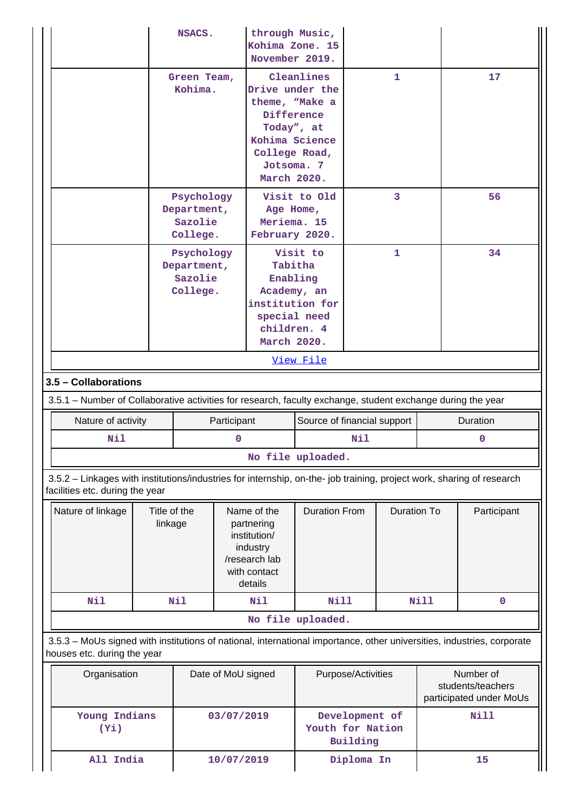|                                                                                                                                                          |                         | NSACS.                                           |             | November 2019.                                                                                    | through Music,<br>Kohima Zone. 15                                                                |                            |                    |             |                                                           |
|----------------------------------------------------------------------------------------------------------------------------------------------------------|-------------------------|--------------------------------------------------|-------------|---------------------------------------------------------------------------------------------------|--------------------------------------------------------------------------------------------------|----------------------------|--------------------|-------------|-----------------------------------------------------------|
|                                                                                                                                                          |                         | Green Team,<br>Kohima.                           |             | College Road,<br>Jotsoma. 7<br>March 2020.                                                        | Cleanlines<br>Drive under the<br>theme, "Make a<br>Difference<br>Today", at<br>Kohima Science    |                            | 1                  |             | 17                                                        |
|                                                                                                                                                          |                         | Psychology<br>Department,<br>Sazolie<br>College. |             | Meriema. 15<br>February 2020.                                                                     | Visit to Old<br>Age Home,                                                                        |                            | 3                  |             | 56                                                        |
|                                                                                                                                                          |                         | Psychology<br>Department,<br>Sazolie<br>College. |             | March 2020.                                                                                       | Visit to<br>Tabitha<br>Enabling<br>Academy, an<br>institution for<br>special need<br>children. 4 |                            | 1                  |             | 34                                                        |
|                                                                                                                                                          |                         |                                                  |             |                                                                                                   | View File                                                                                        |                            |                    |             |                                                           |
| 3.5 - Collaborations                                                                                                                                     |                         |                                                  |             |                                                                                                   |                                                                                                  |                            |                    |             |                                                           |
| 3.5.1 - Number of Collaborative activities for research, faculty exchange, student exchange during the year                                              |                         |                                                  |             |                                                                                                   |                                                                                                  |                            |                    |             |                                                           |
| Nature of activity                                                                                                                                       |                         |                                                  |             |                                                                                                   |                                                                                                  |                            |                    |             |                                                           |
|                                                                                                                                                          |                         |                                                  | Participant |                                                                                                   | Source of financial support                                                                      |                            |                    |             | Duration                                                  |
| Nil                                                                                                                                                      |                         |                                                  | 0           |                                                                                                   |                                                                                                  | Nil                        |                    |             | $\mathbf 0$                                               |
|                                                                                                                                                          |                         |                                                  |             |                                                                                                   | No file uploaded.                                                                                |                            |                    |             |                                                           |
| 3.5.2 - Linkages with institutions/industries for internship, on-the- job training, project work, sharing of research<br>facilities etc. during the year |                         |                                                  |             |                                                                                                   |                                                                                                  |                            |                    |             |                                                           |
| Nature of linkage                                                                                                                                        | Title of the<br>linkage |                                                  |             | Name of the<br>partnering<br>institution/<br>industry<br>/research lab<br>with contact<br>details | <b>Duration From</b>                                                                             |                            | <b>Duration To</b> |             | Participant                                               |
| Nil                                                                                                                                                      |                         | Nil                                              |             | Nil                                                                                               | Nill                                                                                             |                            |                    | <b>Nill</b> | $\pmb{0}$                                                 |
|                                                                                                                                                          |                         |                                                  |             |                                                                                                   | No file uploaded.                                                                                |                            |                    |             |                                                           |
| 3.5.3 - MoUs signed with institutions of national, international importance, other universities, industries, corporate<br>houses etc. during the year    |                         |                                                  |             |                                                                                                   |                                                                                                  |                            |                    |             |                                                           |
| Organisation                                                                                                                                             |                         |                                                  |             | Date of MoU signed                                                                                |                                                                                                  | Purpose/Activities         |                    |             | Number of<br>students/teachers<br>participated under MoUs |
| Young Indians<br>$(Y_i)$                                                                                                                                 |                         |                                                  | 03/07/2019  |                                                                                                   | Youth for Nation                                                                                 | Development of<br>Building |                    |             | <b>Nill</b>                                               |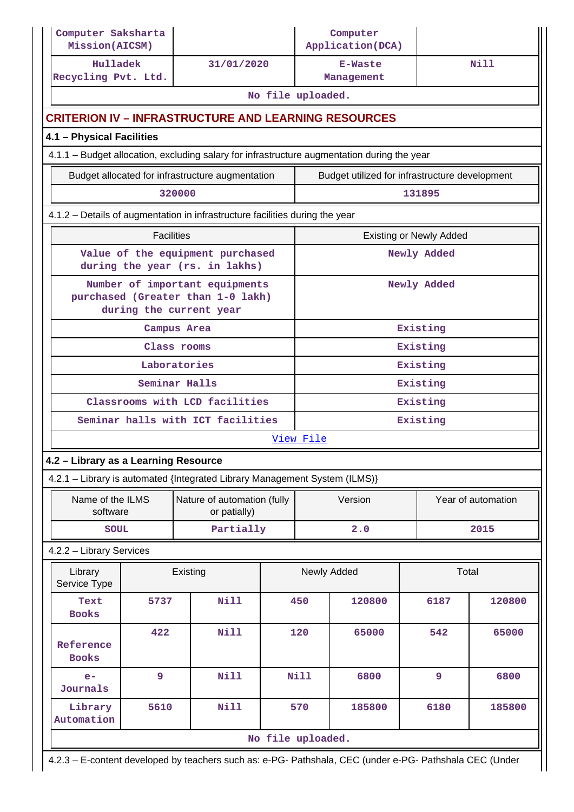| Computer Saksharta<br>Mission(AICSM)                                                        |                   |                                                                    |                   | Computer<br>Application(DCA)                   |                                |        |
|---------------------------------------------------------------------------------------------|-------------------|--------------------------------------------------------------------|-------------------|------------------------------------------------|--------------------------------|--------|
| Hulladek<br>Recycling Pvt. Ltd.                                                             |                   | 31/01/2020                                                         |                   | <b>E-Waste</b><br>Management                   |                                | Nill   |
|                                                                                             |                   |                                                                    | No file uploaded. |                                                |                                |        |
| <b>CRITERION IV - INFRASTRUCTURE AND LEARNING RESOURCES</b>                                 |                   |                                                                    |                   |                                                |                                |        |
| 4.1 - Physical Facilities                                                                   |                   |                                                                    |                   |                                                |                                |        |
| 4.1.1 – Budget allocation, excluding salary for infrastructure augmentation during the year |                   |                                                                    |                   |                                                |                                |        |
| Budget allocated for infrastructure augmentation                                            |                   |                                                                    |                   | Budget utilized for infrastructure development |                                |        |
|                                                                                             | 320000            |                                                                    |                   |                                                | 131895                         |        |
| 4.1.2 - Details of augmentation in infrastructure facilities during the year                |                   |                                                                    |                   |                                                |                                |        |
|                                                                                             | <b>Facilities</b> |                                                                    |                   |                                                | <b>Existing or Newly Added</b> |        |
|                                                                                             |                   | Value of the equipment purchased<br>during the year (rs. in lakhs) |                   |                                                | Newly Added                    |        |
| purchased (Greater than 1-0 lakh)                                                           |                   | Number of important equipments<br>during the current year          |                   |                                                | Newly Added                    |        |
|                                                                                             | Campus Area       |                                                                    |                   |                                                | Existing                       |        |
|                                                                                             | Class rooms       |                                                                    | Existing          |                                                |                                |        |
|                                                                                             | Laboratories      |                                                                    | Existing          |                                                |                                |        |
|                                                                                             | Seminar Halls     |                                                                    | Existing          |                                                |                                |        |
|                                                                                             |                   | Classrooms with LCD facilities                                     |                   |                                                | Existing                       |        |
| Seminar halls with ICT facilities                                                           |                   |                                                                    |                   |                                                | Existing                       |        |
|                                                                                             |                   |                                                                    | View File         |                                                |                                |        |
| 4.2 - Library as a Learning Resource                                                        |                   |                                                                    |                   |                                                |                                |        |
| 4.2.1 - Library is automated {Integrated Library Management System (ILMS)}                  |                   |                                                                    |                   |                                                |                                |        |
| Name of the ILMS<br>software                                                                |                   | Nature of automation (fully<br>or patially)                        |                   | Version                                        | Year of automation             |        |
| <b>SOUL</b>                                                                                 |                   | Partially                                                          |                   | 2.0                                            |                                | 2015   |
| 4.2.2 - Library Services                                                                    |                   |                                                                    |                   |                                                |                                |        |
| Library<br>Service Type                                                                     |                   | Existing                                                           | Newly Added       |                                                |                                | Total  |
| Text<br><b>Books</b>                                                                        | 5737              | <b>Nill</b>                                                        | 450               | 120800                                         | 6187                           | 120800 |
| Reference<br><b>Books</b>                                                                   | 422               | Nill                                                               | 120               | 65000                                          | 542                            | 65000  |
| $e-$<br>Journals                                                                            | 9                 | <b>Nill</b>                                                        | <b>Nill</b>       | 6800                                           | 9                              | 6800   |
| Library<br>Automation                                                                       | 5610              | Nill                                                               | 570               | 185800                                         | 6180                           | 185800 |
|                                                                                             |                   |                                                                    |                   |                                                |                                |        |

 $\prod$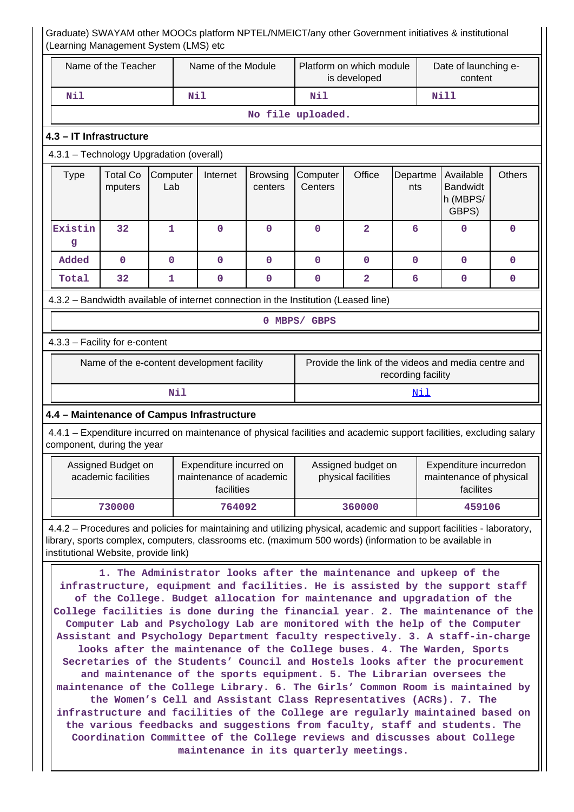| (Learning Management System (LMS) etc                                                                                                           |                                           |                 | Graduate) SWAYAM other MOOCs platform NPTEL/NMEICT/any other Government initiatives & institutional                                                                                                                                                                                                                                                                                                                                                                                                                                                                                                                                                                                                                                                                                                                                                                                                                                                                                                                                                                                                                                                                       |                            |                                                                                                             |                                          |                    |                                                     |               |
|-------------------------------------------------------------------------------------------------------------------------------------------------|-------------------------------------------|-----------------|---------------------------------------------------------------------------------------------------------------------------------------------------------------------------------------------------------------------------------------------------------------------------------------------------------------------------------------------------------------------------------------------------------------------------------------------------------------------------------------------------------------------------------------------------------------------------------------------------------------------------------------------------------------------------------------------------------------------------------------------------------------------------------------------------------------------------------------------------------------------------------------------------------------------------------------------------------------------------------------------------------------------------------------------------------------------------------------------------------------------------------------------------------------------------|----------------------------|-------------------------------------------------------------------------------------------------------------|------------------------------------------|--------------------|-----------------------------------------------------|---------------|
|                                                                                                                                                 | Name of the Teacher                       |                 | Name of the Module                                                                                                                                                                                                                                                                                                                                                                                                                                                                                                                                                                                                                                                                                                                                                                                                                                                                                                                                                                                                                                                                                                                                                        |                            |                                                                                                             | Platform on which module<br>is developed |                    | Date of launching e-<br>content                     |               |
| Nil                                                                                                                                             |                                           |                 | Nil                                                                                                                                                                                                                                                                                                                                                                                                                                                                                                                                                                                                                                                                                                                                                                                                                                                                                                                                                                                                                                                                                                                                                                       |                            | Nil                                                                                                         |                                          |                    | <b>Nill</b>                                         |               |
|                                                                                                                                                 |                                           |                 |                                                                                                                                                                                                                                                                                                                                                                                                                                                                                                                                                                                                                                                                                                                                                                                                                                                                                                                                                                                                                                                                                                                                                                           |                            | No file uploaded.                                                                                           |                                          |                    |                                                     |               |
| 4.3 - IT Infrastructure                                                                                                                         |                                           |                 |                                                                                                                                                                                                                                                                                                                                                                                                                                                                                                                                                                                                                                                                                                                                                                                                                                                                                                                                                                                                                                                                                                                                                                           |                            |                                                                                                             |                                          |                    |                                                     |               |
| 4.3.1 - Technology Upgradation (overall)                                                                                                        |                                           |                 |                                                                                                                                                                                                                                                                                                                                                                                                                                                                                                                                                                                                                                                                                                                                                                                                                                                                                                                                                                                                                                                                                                                                                                           |                            |                                                                                                             |                                          |                    |                                                     |               |
| <b>Type</b>                                                                                                                                     | <b>Total Co</b><br>mputers                | Computer<br>Lab | Internet                                                                                                                                                                                                                                                                                                                                                                                                                                                                                                                                                                                                                                                                                                                                                                                                                                                                                                                                                                                                                                                                                                                                                                  | <b>Browsing</b><br>centers | Computer<br>Centers                                                                                         | Office                                   | Departme<br>nts    | Available<br><b>Bandwidt</b><br>h (MBPS/<br>GBPS)   | <b>Others</b> |
| Existin<br>g                                                                                                                                    | 32                                        | 1               | $\mathbf 0$                                                                                                                                                                                                                                                                                                                                                                                                                                                                                                                                                                                                                                                                                                                                                                                                                                                                                                                                                                                                                                                                                                                                                               | $\mathbf{0}$               | $\mathbf 0$                                                                                                 | $\overline{2}$                           | 6                  | $\mathbf{O}$                                        | $\mathbf 0$   |
| Added                                                                                                                                           | 0                                         | $\mathbf 0$     | $\mathbf 0$                                                                                                                                                                                                                                                                                                                                                                                                                                                                                                                                                                                                                                                                                                                                                                                                                                                                                                                                                                                                                                                                                                                                                               | 0                          | $\mathbf 0$                                                                                                 | $\mathbf 0$                              | 0                  | 0                                                   | 0             |
| Total                                                                                                                                           | 32                                        | 1               | $\mathbf{0}$                                                                                                                                                                                                                                                                                                                                                                                                                                                                                                                                                                                                                                                                                                                                                                                                                                                                                                                                                                                                                                                                                                                                                              | 0                          | $\mathbf 0$                                                                                                 | $\overline{a}$                           | 6                  | 0                                                   | 0             |
|                                                                                                                                                 |                                           |                 | 4.3.2 - Bandwidth available of internet connection in the Institution (Leased line)                                                                                                                                                                                                                                                                                                                                                                                                                                                                                                                                                                                                                                                                                                                                                                                                                                                                                                                                                                                                                                                                                       |                            |                                                                                                             |                                          |                    |                                                     |               |
|                                                                                                                                                 |                                           |                 |                                                                                                                                                                                                                                                                                                                                                                                                                                                                                                                                                                                                                                                                                                                                                                                                                                                                                                                                                                                                                                                                                                                                                                           |                            | 0 MBPS/ GBPS                                                                                                |                                          |                    |                                                     |               |
| 4.3.3 - Facility for e-content                                                                                                                  |                                           |                 |                                                                                                                                                                                                                                                                                                                                                                                                                                                                                                                                                                                                                                                                                                                                                                                                                                                                                                                                                                                                                                                                                                                                                                           |                            |                                                                                                             |                                          |                    |                                                     |               |
|                                                                                                                                                 |                                           |                 | Name of the e-content development facility                                                                                                                                                                                                                                                                                                                                                                                                                                                                                                                                                                                                                                                                                                                                                                                                                                                                                                                                                                                                                                                                                                                                |                            |                                                                                                             |                                          | recording facility | Provide the link of the videos and media centre and |               |
|                                                                                                                                                 |                                           | Nil             |                                                                                                                                                                                                                                                                                                                                                                                                                                                                                                                                                                                                                                                                                                                                                                                                                                                                                                                                                                                                                                                                                                                                                                           |                            |                                                                                                             |                                          | Nil                |                                                     |               |
| 4.4 - Maintenance of Campus Infrastructure                                                                                                      |                                           |                 |                                                                                                                                                                                                                                                                                                                                                                                                                                                                                                                                                                                                                                                                                                                                                                                                                                                                                                                                                                                                                                                                                                                                                                           |                            |                                                                                                             |                                          |                    |                                                     |               |
| component, during the year                                                                                                                      |                                           |                 | 4.4.1 - Expenditure incurred on maintenance of physical facilities and academic support facilities, excluding salary                                                                                                                                                                                                                                                                                                                                                                                                                                                                                                                                                                                                                                                                                                                                                                                                                                                                                                                                                                                                                                                      |                            |                                                                                                             |                                          |                    |                                                     |               |
|                                                                                                                                                 | Assigned Budget on<br>academic facilities |                 | Expenditure incurred on<br>maintenance of academic<br>facilities                                                                                                                                                                                                                                                                                                                                                                                                                                                                                                                                                                                                                                                                                                                                                                                                                                                                                                                                                                                                                                                                                                          |                            | Assigned budget on<br>Expenditure incurredon<br>physical facilities<br>maintenance of physical<br>facilites |                                          |                    |                                                     |               |
|                                                                                                                                                 | 730000                                    |                 | 764092                                                                                                                                                                                                                                                                                                                                                                                                                                                                                                                                                                                                                                                                                                                                                                                                                                                                                                                                                                                                                                                                                                                                                                    |                            | 360000<br>459106                                                                                            |                                          |                    |                                                     |               |
| library, sports complex, computers, classrooms etc. (maximum 500 words) (information to be available in<br>institutional Website, provide link) |                                           |                 | 4.4.2 – Procedures and policies for maintaining and utilizing physical, academic and support facilities - laboratory,                                                                                                                                                                                                                                                                                                                                                                                                                                                                                                                                                                                                                                                                                                                                                                                                                                                                                                                                                                                                                                                     |                            |                                                                                                             |                                          |                    |                                                     |               |
|                                                                                                                                                 |                                           |                 | 1. The Administrator looks after the maintenance and upkeep of the<br>infrastructure, equipment and facilities. He is assisted by the support staff<br>of the College. Budget allocation for maintenance and upgradation of the<br>College facilities is done during the financial year. 2. The maintenance of the<br>Computer Lab and Psychology Lab are monitored with the help of the Computer<br>Assistant and Psychology Department faculty respectively. 3. A staff-in-charge<br>looks after the maintenance of the College buses. 4. The Warden, Sports<br>Secretaries of the Students' Council and Hostels looks after the procurement<br>and maintenance of the sports equipment. 5. The Librarian oversees the<br>maintenance of the College Library. 6. The Girls' Common Room is maintained by<br>the Women's Cell and Assistant Class Representatives (ACRs). 7. The<br>infrastructure and facilities of the College are regularly maintained based on<br>the various feedbacks and suggestions from faculty, staff and students. The<br>Coordination Committee of the College reviews and discusses about College<br>maintenance in its quarterly meetings. |                            |                                                                                                             |                                          |                    |                                                     |               |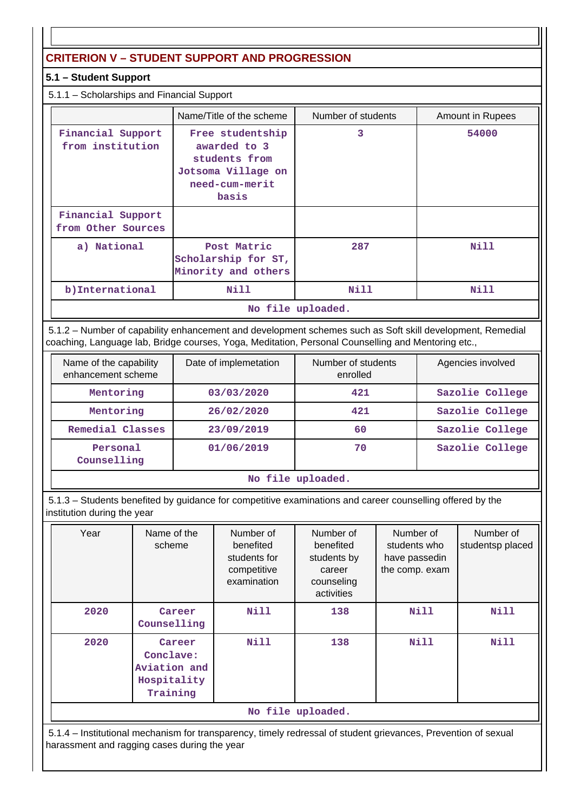## **CRITERION V – STUDENT SUPPORT AND PROGRESSION**

## **5.1 – Student Support**

## 5.1.1 – Scholarships and Financial Support

|                                         | Name/Title of the scheme                                                                           | Number of students | Amount in Rupees |  |  |  |  |
|-----------------------------------------|----------------------------------------------------------------------------------------------------|--------------------|------------------|--|--|--|--|
| Financial Support<br>from institution   | Free studentship<br>awarded to 3<br>students from<br>Jotsoma Village on<br>need-cum-merit<br>basis | 3                  | 54000            |  |  |  |  |
| Financial Support<br>from Other Sources |                                                                                                    |                    |                  |  |  |  |  |
| a) National                             | Post Matric<br>Scholarship for ST,<br>Minority and others                                          | 287                | Nill             |  |  |  |  |
| b) International                        | Nill                                                                                               | Nill               | Nill             |  |  |  |  |
| No file uploaded.                       |                                                                                                    |                    |                  |  |  |  |  |

 5.1.2 – Number of capability enhancement and development schemes such as Soft skill development, Remedial coaching, Language lab, Bridge courses, Yoga, Meditation, Personal Counselling and Mentoring etc.,

| Name of the capability<br>enhancement scheme | Date of implemetation | Number of students<br>enrolled | Agencies involved |
|----------------------------------------------|-----------------------|--------------------------------|-------------------|
| Mentoring                                    | 03/03/2020            | 421                            | Sazolie College   |
| Mentoring                                    | 26/02/2020            | 421                            | Sazolie College   |
| Remedial Classes                             | 23/09/2019            | 60                             | Sazolie College   |
| Personal<br>Counselling                      | 01/06/2019            | 70                             | Sazolie College   |
|                                              |                       |                                |                   |

#### **No file uploaded.**

 5.1.3 – Students benefited by guidance for competitive examinations and career counselling offered by the institution during the year

| Year | Name of the<br>scheme                                          | Number of<br>benefited<br>students for<br>competitive<br>examination | Number of<br>benefited<br>students by<br>career<br>counseling<br>activities | Number of<br>students who<br>have passedin<br>the comp. exam | Number of<br>studentsp placed |  |  |  |
|------|----------------------------------------------------------------|----------------------------------------------------------------------|-----------------------------------------------------------------------------|--------------------------------------------------------------|-------------------------------|--|--|--|
| 2020 | Career<br>Counselling                                          | <b>Nill</b>                                                          | 138                                                                         | <b>Nill</b>                                                  | <b>Nill</b>                   |  |  |  |
| 2020 | Career<br>Conclave:<br>Aviation and<br>Hospitality<br>Training | Nill                                                                 | 138                                                                         | Nill                                                         | <b>Nill</b>                   |  |  |  |
|      | No file uploaded.                                              |                                                                      |                                                                             |                                                              |                               |  |  |  |

 5.1.4 – Institutional mechanism for transparency, timely redressal of student grievances, Prevention of sexual harassment and ragging cases during the year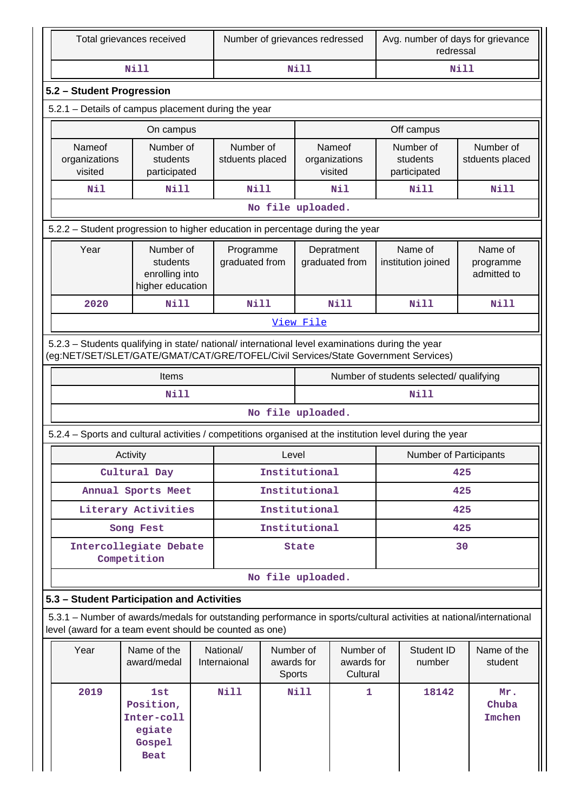|             | Total grievances received                                                                                                                                                              |                                                                   |             | Number of grievances redressed |                                         |                                        | Avg. number of days for grievance<br>redressal |     |                                       |    |                                     |
|-------------|----------------------------------------------------------------------------------------------------------------------------------------------------------------------------------------|-------------------------------------------------------------------|-------------|--------------------------------|-----------------------------------------|----------------------------------------|------------------------------------------------|-----|---------------------------------------|----|-------------------------------------|
| <b>Nill</b> |                                                                                                                                                                                        |                                                                   | <b>Nill</b> |                                |                                         |                                        | <b>Nill</b>                                    |     |                                       |    |                                     |
|             | 5.2 - Student Progression                                                                                                                                                              |                                                                   |             |                                |                                         |                                        |                                                |     |                                       |    |                                     |
|             | 5.2.1 - Details of campus placement during the year                                                                                                                                    |                                                                   |             |                                |                                         |                                        |                                                |     |                                       |    |                                     |
|             |                                                                                                                                                                                        | On campus                                                         |             |                                |                                         |                                        |                                                |     | Off campus                            |    |                                     |
|             | Nameof<br>organizations<br>visited                                                                                                                                                     | Number of<br>students<br>participated                             |             | Number of<br>stduents placed   |                                         | Nameof<br>organizations<br>visited     |                                                |     | Number of<br>students<br>participated |    | Number of<br>stduents placed        |
|             | Nil                                                                                                                                                                                    | <b>Nill</b>                                                       |             | <b>Nill</b>                    |                                         |                                        | Nil                                            |     | <b>Nill</b>                           |    | <b>Nill</b>                         |
|             |                                                                                                                                                                                        |                                                                   |             |                                | No file uploaded.                       |                                        |                                                |     |                                       |    |                                     |
|             | 5.2.2 – Student progression to higher education in percentage during the year                                                                                                          |                                                                   |             |                                |                                         |                                        |                                                |     |                                       |    |                                     |
|             | Year                                                                                                                                                                                   | Number of<br>students<br>enrolling into<br>higher education       |             | Programme<br>graduated from    |                                         |                                        | Depratment<br>graduated from                   |     | Name of<br>institution joined         |    | Name of<br>programme<br>admitted to |
|             | 2020                                                                                                                                                                                   | Nill                                                              |             | <b>Nill</b>                    |                                         |                                        | <b>Nill</b>                                    |     | <b>Nill</b>                           |    | Nill                                |
|             |                                                                                                                                                                                        |                                                                   |             |                                |                                         | View File                              |                                                |     |                                       |    |                                     |
|             | 5.2.3 - Students qualifying in state/ national/ international level examinations during the year<br>(eg:NET/SET/SLET/GATE/GMAT/CAT/GRE/TOFEL/Civil Services/State Government Services) |                                                                   |             |                                |                                         |                                        |                                                |     |                                       |    |                                     |
|             |                                                                                                                                                                                        | Items                                                             |             |                                | Number of students selected/ qualifying |                                        |                                                |     |                                       |    |                                     |
|             |                                                                                                                                                                                        | Nill                                                              |             | <b>Nill</b>                    |                                         |                                        |                                                |     |                                       |    |                                     |
|             |                                                                                                                                                                                        |                                                                   |             |                                | No file uploaded.                       |                                        |                                                |     |                                       |    |                                     |
|             | 5.2.4 - Sports and cultural activities / competitions organised at the institution level during the year                                                                               |                                                                   |             |                                |                                         |                                        |                                                |     |                                       |    |                                     |
|             |                                                                                                                                                                                        | Activity                                                          |             |                                |                                         | Level<br><b>Number of Participants</b> |                                                |     |                                       |    |                                     |
|             |                                                                                                                                                                                        | Cultural Day                                                      |             |                                |                                         | Institutional                          |                                                |     | 425                                   |    |                                     |
|             |                                                                                                                                                                                        | Annual Sports Meet                                                |             |                                | Institutional                           |                                        |                                                | 425 |                                       |    |                                     |
|             |                                                                                                                                                                                        | Literary Activities                                               |             |                                | Institutional                           |                                        |                                                | 425 |                                       |    |                                     |
|             |                                                                                                                                                                                        | Song Fest                                                         |             |                                |                                         | Institutional<br>425                   |                                                |     |                                       |    |                                     |
|             |                                                                                                                                                                                        | Intercollegiate Debate<br>Competition                             |             |                                |                                         | <b>State</b>                           |                                                |     |                                       | 30 |                                     |
|             |                                                                                                                                                                                        |                                                                   |             |                                | No file uploaded.                       |                                        |                                                |     |                                       |    |                                     |
|             | 5.3 - Student Participation and Activities                                                                                                                                             |                                                                   |             |                                |                                         |                                        |                                                |     |                                       |    |                                     |
|             | 5.3.1 – Number of awards/medals for outstanding performance in sports/cultural activities at national/international<br>level (award for a team event should be counted as one)         |                                                                   |             |                                |                                         |                                        |                                                |     |                                       |    |                                     |
|             | Year                                                                                                                                                                                   | Name of the<br>award/medal                                        |             | National/<br>Internaional      | Number of<br>awards for<br>Sports       | Number of<br>awards for<br>Cultural    |                                                |     | Student ID<br>number                  |    | Name of the<br>student              |
|             | 2019                                                                                                                                                                                   | 1st<br>Position,<br>Inter-coll<br>egiate<br>Gospel<br><b>Beat</b> |             | <b>Nill</b>                    |                                         | <b>Nill</b>                            | 1                                              |     | 18142                                 |    | Mr.<br>Chuba<br>Imchen              |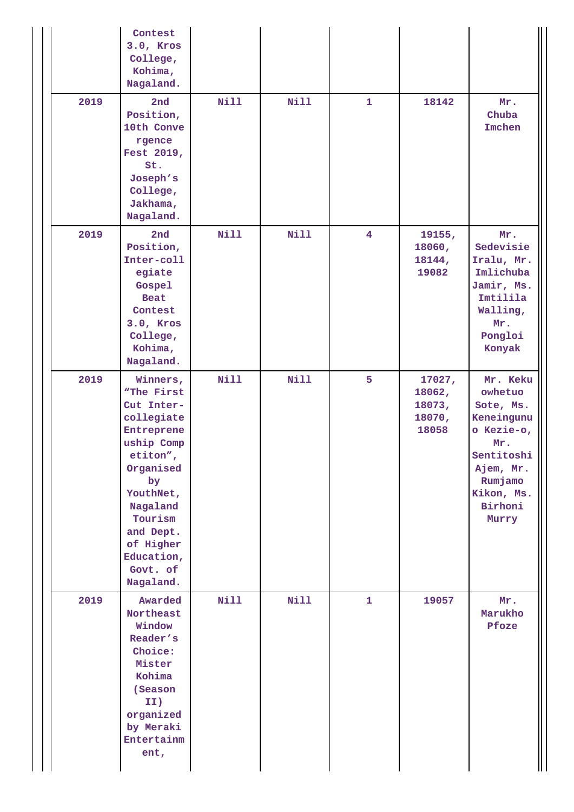| 2019 | Contest<br>$3.0$ , Kros<br>College,<br>Kohima,<br>Nagaland.<br>2nd<br>Position,<br>10th Conve<br>rgence<br>Fest 2019,<br>St.<br>Joseph's<br>College,<br>Jakhama,<br>Nagaland.                                      | <b>Nill</b> | <b>Nill</b> | 1                       | 18142                                         | Mr.<br>Chuba<br>Imchen                                                                                                                      |
|------|--------------------------------------------------------------------------------------------------------------------------------------------------------------------------------------------------------------------|-------------|-------------|-------------------------|-----------------------------------------------|---------------------------------------------------------------------------------------------------------------------------------------------|
| 2019 | 2nd<br>Position,<br>Inter-coll<br>egiate<br>Gospel<br><b>Beat</b><br>Contest<br>$3.0$ , Kros<br>College,<br>Kohima,<br>Nagaland.                                                                                   | Nill        | <b>Nill</b> | $\overline{\mathbf{4}}$ | 19155,<br>18060,<br>18144,<br>19082           | Mr.<br>Sedevisie<br>Iralu, Mr.<br>Imlichuba<br>Jamir, Ms.<br>Imtilila<br>Walling,<br>Mr.<br>Pongloi<br>Konyak                               |
| 2019 | Winners,<br>"The First<br>Cut Inter-<br>collegiate<br>Entreprene<br>uship Comp<br>etiton",<br>Organised<br>by<br>YouthNet,<br>Nagaland<br>Tourism<br>and Dept.<br>of Higher<br>Education,<br>Govt. of<br>Nagaland. | <b>Nill</b> | <b>Nill</b> | 5                       | 17027,<br>18062,<br>18073,<br>18070,<br>18058 | Mr. Keku<br>owhetuo<br>Sote, Ms.<br>Keneingunu<br>o Kezie-o,<br>Mr.<br>Sentitoshi<br>Ajem, Mr.<br>Rumjamo<br>Kikon, Ms.<br>Birhoni<br>Murry |
| 2019 | Awarded<br>Northeast<br>Window<br>Reader's<br>Choice:<br>Mister<br>Kohima<br>(Season<br>II)<br>organized<br>by Meraki<br>Entertainm<br>ent,                                                                        | Nill        | <b>Nill</b> | $\mathbf{1}$            | 19057                                         | Mr.<br>Marukho<br>Pfoze                                                                                                                     |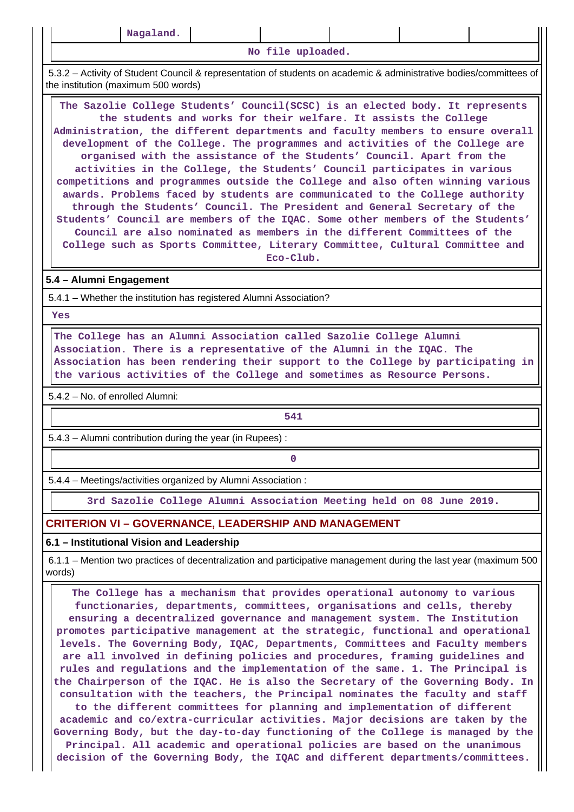| - בשי | calanc |
|-------|--------|
|-------|--------|

**No file uploaded.**

 5.3.2 – Activity of Student Council & representation of students on academic & administrative bodies/committees of the institution (maximum 500 words)

 **The Sazolie College Students' Council(SCSC) is an elected body. It represents the students and works for their welfare. It assists the College Administration, the different departments and faculty members to ensure overall development of the College. The programmes and activities of the College are organised with the assistance of the Students' Council. Apart from the activities in the College, the Students' Council participates in various competitions and programmes outside the College and also often winning various awards. Problems faced by students are communicated to the College authority through the Students' Council. The President and General Secretary of the Students' Council are members of the IQAC. Some other members of the Students' Council are also nominated as members in the different Committees of the College such as Sports Committee, Literary Committee, Cultural Committee and Eco-Club.**

### **5.4 – Alumni Engagement**

5.4.1 – Whether the institution has registered Alumni Association?

 **Yes**

 **The College has an Alumni Association called Sazolie College Alumni Association. There is a representative of the Alumni in the IQAC. The Association has been rendering their support to the College by participating in the various activities of the College and sometimes as Resource Persons.**

5.4.2 – No. of enrolled Alumni:

**541** 

5.4.3 – Alumni contribution during the year (in Rupees) :

**0**

5.4.4 – Meetings/activities organized by Alumni Association :

**3rd Sazolie College Alumni Association Meeting held on 08 June 2019.**

## **CRITERION VI – GOVERNANCE, LEADERSHIP AND MANAGEMENT**

**6.1 – Institutional Vision and Leadership**

 6.1.1 – Mention two practices of decentralization and participative management during the last year (maximum 500 words)

 **The College has a mechanism that provides operational autonomy to various functionaries, departments, committees, organisations and cells, thereby ensuring a decentralized governance and management system. The Institution promotes participative management at the strategic, functional and operational levels. The Governing Body, IQAC, Departments, Committees and Faculty members are all involved in defining policies and procedures, framing guidelines and rules and regulations and the implementation of the same. 1. The Principal is the Chairperson of the IQAC. He is also the Secretary of the Governing Body. In consultation with the teachers, the Principal nominates the faculty and staff to the different committees for planning and implementation of different academic and co/extra-curricular activities. Major decisions are taken by the Governing Body, but the day-to-day functioning of the College is managed by the Principal. All academic and operational policies are based on the unanimous decision of the Governing Body, the IQAC and different departments/committees.**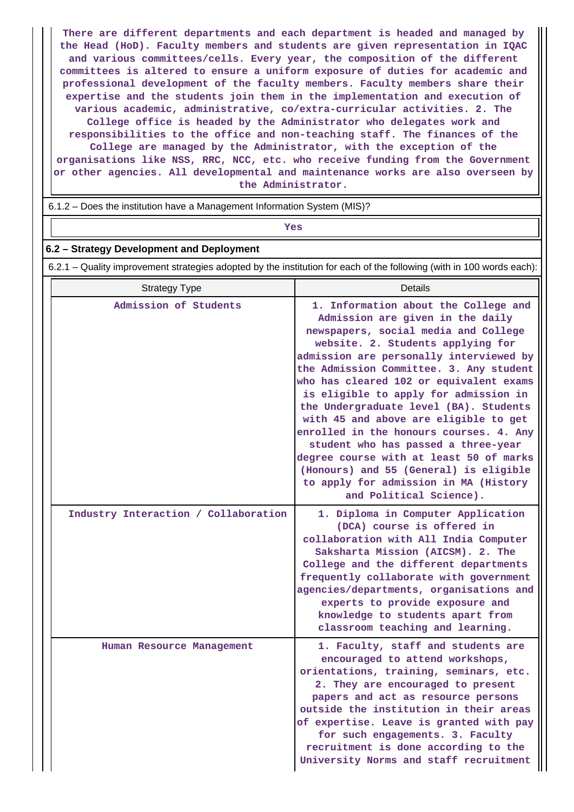**There are different departments and each department is headed and managed by the Head (HoD). Faculty members and students are given representation in IQAC and various committees/cells. Every year, the composition of the different committees is altered to ensure a uniform exposure of duties for academic and professional development of the faculty members. Faculty members share their expertise and the students join them in the implementation and execution of various academic, administrative, co/extra-curricular activities. 2. The College office is headed by the Administrator who delegates work and responsibilities to the office and non-teaching staff. The finances of the College are managed by the Administrator, with the exception of the organisations like NSS, RRC, NCC, etc. who receive funding from the Government or other agencies. All developmental and maintenance works are also overseen by the Administrator.**

6.1.2 – Does the institution have a Management Information System (MIS)?

*Yes* 

#### **6.2 – Strategy Development and Deployment**

6.2.1 – Quality improvement strategies adopted by the institution for each of the following (with in 100 words each):

| <b>Strategy Type</b>                 | Details                                                                                                                                                                                                                                                                                                                                                                                                                                                                                                                                                                                                                                                       |
|--------------------------------------|---------------------------------------------------------------------------------------------------------------------------------------------------------------------------------------------------------------------------------------------------------------------------------------------------------------------------------------------------------------------------------------------------------------------------------------------------------------------------------------------------------------------------------------------------------------------------------------------------------------------------------------------------------------|
| Admission of Students                | 1. Information about the College and<br>Admission are given in the daily<br>newspapers, social media and College<br>website. 2. Students applying for<br>admission are personally interviewed by<br>the Admission Committee. 3. Any student<br>who has cleared 102 or equivalent exams<br>is eligible to apply for admission in<br>the Undergraduate level (BA). Students<br>with 45 and above are eligible to get<br>enrolled in the honours courses. 4. Any<br>student who has passed a three-year<br>degree course with at least 50 of marks<br>(Honours) and 55 (General) is eligible<br>to apply for admission in MA (History<br>and Political Science). |
| Industry Interaction / Collaboration | 1. Diploma in Computer Application<br>(DCA) course is offered in<br>collaboration with All India Computer<br>Saksharta Mission (AICSM). 2. The<br>College and the different departments<br>frequently collaborate with government<br>agencies/departments, organisations and<br>experts to provide exposure and<br>knowledge to students apart from<br>classroom teaching and learning.                                                                                                                                                                                                                                                                       |
| Human Resource Management            | 1. Faculty, staff and students are<br>encouraged to attend workshops,<br>orientations, training, seminars, etc.<br>2. They are encouraged to present<br>papers and act as resource persons<br>outside the institution in their areas<br>of expertise. Leave is granted with pay<br>for such engagements. 3. Faculty<br>recruitment is done according to the<br>University Norms and staff recruitment                                                                                                                                                                                                                                                         |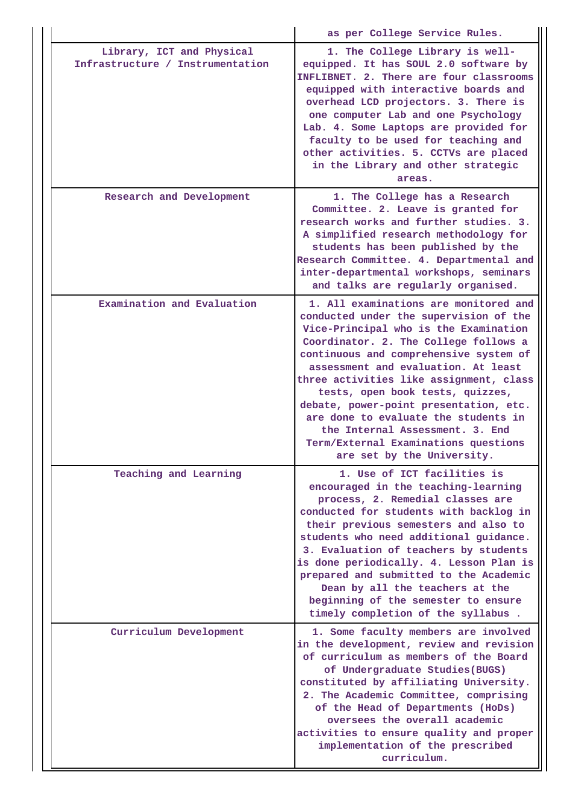|                                                               | as per College Service Rules.                                                                                                                                                                                                                                                                                                                                                                                                                                                                                                |
|---------------------------------------------------------------|------------------------------------------------------------------------------------------------------------------------------------------------------------------------------------------------------------------------------------------------------------------------------------------------------------------------------------------------------------------------------------------------------------------------------------------------------------------------------------------------------------------------------|
| Library, ICT and Physical<br>Infrastructure / Instrumentation | 1. The College Library is well-<br>equipped. It has SOUL 2.0 software by<br>INFLIBNET. 2. There are four classrooms<br>equipped with interactive boards and<br>overhead LCD projectors. 3. There is<br>one computer Lab and one Psychology<br>Lab. 4. Some Laptops are provided for<br>faculty to be used for teaching and<br>other activities. 5. CCTVs are placed<br>in the Library and other strategic<br>areas.                                                                                                          |
| Research and Development                                      | 1. The College has a Research<br>Committee. 2. Leave is granted for<br>research works and further studies. 3.<br>A simplified research methodology for<br>students has been published by the<br>Research Committee. 4. Departmental and<br>inter-departmental workshops, seminars<br>and talks are regularly organised.                                                                                                                                                                                                      |
| Examination and Evaluation                                    | 1. All examinations are monitored and<br>conducted under the supervision of the<br>Vice-Principal who is the Examination<br>Coordinator. 2. The College follows a<br>continuous and comprehensive system of<br>assessment and evaluation. At least<br>three activities like assignment, class<br>tests, open book tests, quizzes,<br>debate, power-point presentation, etc.<br>are done to evaluate the students in<br>the Internal Assessment. 3. End<br>Term/External Examinations questions<br>are set by the University. |
| Teaching and Learning                                         | 1. Use of ICT facilities is<br>encouraged in the teaching-learning<br>process, 2. Remedial classes are<br>conducted for students with backlog in<br>their previous semesters and also to<br>students who need additional guidance.<br>3. Evaluation of teachers by students<br>is done periodically. 4. Lesson Plan is<br>prepared and submitted to the Academic<br>Dean by all the teachers at the<br>beginning of the semester to ensure<br>timely completion of the syllabus.                                             |
| Curriculum Development                                        | 1. Some faculty members are involved<br>in the development, review and revision<br>of curriculum as members of the Board<br>of Undergraduate Studies(BUGS)<br>constituted by affiliating University.<br>2. The Academic Committee, comprising<br>of the Head of Departments (HoDs)<br>oversees the overall academic<br>activities to ensure quality and proper<br>implementation of the prescribed<br>curriculum.                                                                                                            |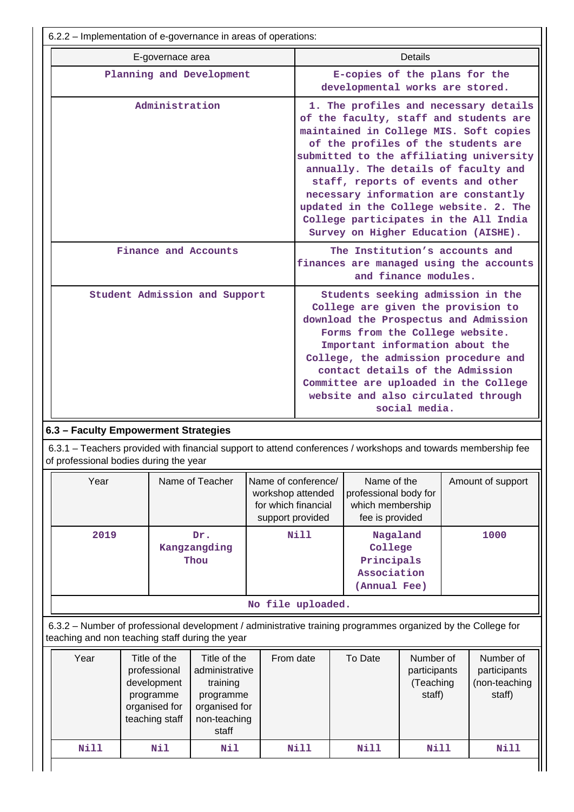| 6.2.2 – Implementation of e-governance in areas of operations:                                                                                                  |  |                                                                                             |                                                                                                   |           |                                                                                                                                                                                                                                                                                                                                                                     |                                                                                                                         |                                                                                                                  |                                                  |      |                                                                                                                                                                                                                                                                                                                                         |
|-----------------------------------------------------------------------------------------------------------------------------------------------------------------|--|---------------------------------------------------------------------------------------------|---------------------------------------------------------------------------------------------------|-----------|---------------------------------------------------------------------------------------------------------------------------------------------------------------------------------------------------------------------------------------------------------------------------------------------------------------------------------------------------------------------|-------------------------------------------------------------------------------------------------------------------------|------------------------------------------------------------------------------------------------------------------|--------------------------------------------------|------|-----------------------------------------------------------------------------------------------------------------------------------------------------------------------------------------------------------------------------------------------------------------------------------------------------------------------------------------|
| E-governace area                                                                                                                                                |  |                                                                                             |                                                                                                   |           |                                                                                                                                                                                                                                                                                                                                                                     |                                                                                                                         |                                                                                                                  | Details                                          |      |                                                                                                                                                                                                                                                                                                                                         |
| Planning and Development                                                                                                                                        |  |                                                                                             |                                                                                                   |           |                                                                                                                                                                                                                                                                                                                                                                     | E-copies of the plans for the<br>developmental works are stored.                                                        |                                                                                                                  |                                                  |      |                                                                                                                                                                                                                                                                                                                                         |
| Administration                                                                                                                                                  |  |                                                                                             |                                                                                                   |           |                                                                                                                                                                                                                                                                                                                                                                     |                                                                                                                         | of the profiles of the students are<br>staff, reports of events and other<br>Survey on Higher Education (AISHE). |                                                  |      | 1. The profiles and necessary details<br>of the faculty, staff and students are<br>maintained in College MIS. Soft copies<br>submitted to the affiliating university<br>annually. The details of faculty and<br>necessary information are constantly<br>updated in the College website. 2. The<br>College participates in the All India |
|                                                                                                                                                                 |  |                                                                                             | Finance and Accounts                                                                              |           |                                                                                                                                                                                                                                                                                                                                                                     |                                                                                                                         | The Institution's accounts and<br>and finance modules.                                                           |                                                  |      | finances are managed using the accounts                                                                                                                                                                                                                                                                                                 |
| Student Admission and Support                                                                                                                                   |  |                                                                                             |                                                                                                   |           | Students seeking admission in the<br>College are given the provision to<br>download the Prospectus and Admission<br>Forms from the College website.<br>Important information about the<br>College, the admission procedure and<br>contact details of the Admission<br>Committee are uploaded in the College<br>website and also circulated through<br>social media. |                                                                                                                         |                                                                                                                  |                                                  |      |                                                                                                                                                                                                                                                                                                                                         |
| 6.3 - Faculty Empowerment Strategies                                                                                                                            |  |                                                                                             |                                                                                                   |           |                                                                                                                                                                                                                                                                                                                                                                     |                                                                                                                         |                                                                                                                  |                                                  |      |                                                                                                                                                                                                                                                                                                                                         |
| 6.3.1 – Teachers provided with financial support to attend conferences / workshops and towards membership fee<br>of professional bodies during the year         |  |                                                                                             |                                                                                                   |           |                                                                                                                                                                                                                                                                                                                                                                     |                                                                                                                         |                                                                                                                  |                                                  |      |                                                                                                                                                                                                                                                                                                                                         |
| Year                                                                                                                                                            |  |                                                                                             | Name of Teacher                                                                                   |           | workshop attended<br>for which financial<br>support provided                                                                                                                                                                                                                                                                                                        | Name of the<br>Name of conference/<br>Amount of support<br>professional body for<br>which membership<br>fee is provided |                                                                                                                  |                                                  |      |                                                                                                                                                                                                                                                                                                                                         |
| 2019                                                                                                                                                            |  |                                                                                             | Dr.<br>Kangzangding<br>Thou                                                                       |           | Nill                                                                                                                                                                                                                                                                                                                                                                | Nagaland<br>College<br>Principals<br>Association                                                                        |                                                                                                                  | (Annual Fee)                                     | 1000 |                                                                                                                                                                                                                                                                                                                                         |
|                                                                                                                                                                 |  |                                                                                             |                                                                                                   |           | No file uploaded.                                                                                                                                                                                                                                                                                                                                                   |                                                                                                                         |                                                                                                                  |                                                  |      |                                                                                                                                                                                                                                                                                                                                         |
| 6.3.2 - Number of professional development / administrative training programmes organized by the College for<br>teaching and non teaching staff during the year |  |                                                                                             |                                                                                                   |           |                                                                                                                                                                                                                                                                                                                                                                     |                                                                                                                         |                                                                                                                  |                                                  |      |                                                                                                                                                                                                                                                                                                                                         |
| Year                                                                                                                                                            |  | Title of the<br>professional<br>development<br>programme<br>organised for<br>teaching staff | Title of the<br>administrative<br>training<br>programme<br>organised for<br>non-teaching<br>staff | From date |                                                                                                                                                                                                                                                                                                                                                                     |                                                                                                                         | To Date                                                                                                          | Number of<br>participants<br>(Teaching<br>staff) |      | Number of<br>participants<br>(non-teaching<br>staff)                                                                                                                                                                                                                                                                                    |
| Nill                                                                                                                                                            |  | Nil                                                                                         | Nil                                                                                               |           | <b>Nill</b>                                                                                                                                                                                                                                                                                                                                                         |                                                                                                                         | Nill                                                                                                             | Nill                                             |      | Nill                                                                                                                                                                                                                                                                                                                                    |

11

 $\vert \vert$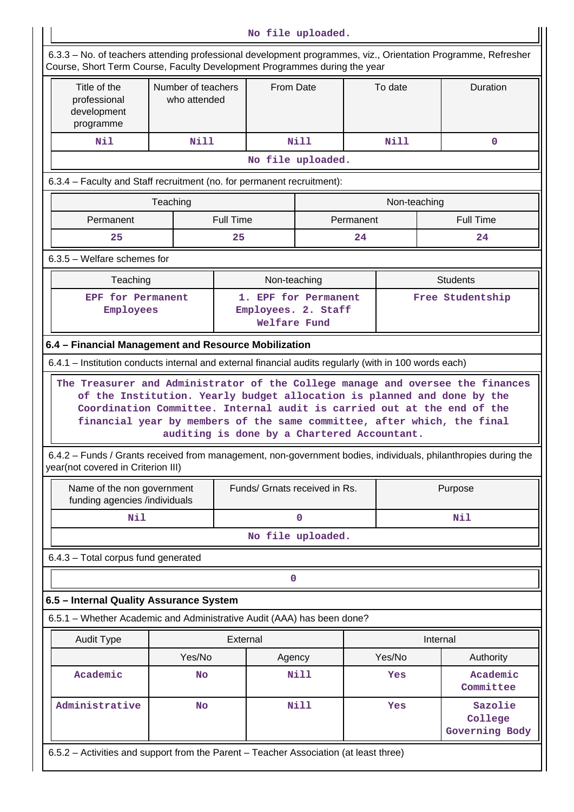| No file uploaded.                                                                                                                                                                          |                                             |                  |                                                             |             |           |              |                                                                                                                                                                                                                                                                                                                                                 |  |
|--------------------------------------------------------------------------------------------------------------------------------------------------------------------------------------------|---------------------------------------------|------------------|-------------------------------------------------------------|-------------|-----------|--------------|-------------------------------------------------------------------------------------------------------------------------------------------------------------------------------------------------------------------------------------------------------------------------------------------------------------------------------------------------|--|
| 6.3.3 - No. of teachers attending professional development programmes, viz., Orientation Programme, Refresher<br>Course, Short Term Course, Faculty Development Programmes during the year |                                             |                  |                                                             |             |           |              |                                                                                                                                                                                                                                                                                                                                                 |  |
| Title of the<br>professional<br>development<br>programme                                                                                                                                   | Number of teachers<br>who attended          |                  | From Date                                                   |             |           | To date      | Duration                                                                                                                                                                                                                                                                                                                                        |  |
| Nil                                                                                                                                                                                        | <b>Nill</b>                                 |                  |                                                             | <b>Nill</b> |           | Nill         | $\mathbf{0}$                                                                                                                                                                                                                                                                                                                                    |  |
|                                                                                                                                                                                            |                                             |                  | No file uploaded.                                           |             |           |              |                                                                                                                                                                                                                                                                                                                                                 |  |
| 6.3.4 - Faculty and Staff recruitment (no. for permanent recruitment):                                                                                                                     |                                             |                  |                                                             |             |           |              |                                                                                                                                                                                                                                                                                                                                                 |  |
|                                                                                                                                                                                            | Teaching                                    |                  |                                                             |             |           | Non-teaching |                                                                                                                                                                                                                                                                                                                                                 |  |
| Permanent                                                                                                                                                                                  |                                             | <b>Full Time</b> |                                                             |             | Permanent |              | <b>Full Time</b>                                                                                                                                                                                                                                                                                                                                |  |
| 25                                                                                                                                                                                         |                                             | 25               |                                                             |             | 24        |              | 24                                                                                                                                                                                                                                                                                                                                              |  |
| 6.3.5 - Welfare schemes for                                                                                                                                                                |                                             |                  |                                                             |             |           |              |                                                                                                                                                                                                                                                                                                                                                 |  |
| Teaching                                                                                                                                                                                   |                                             |                  | Non-teaching                                                |             |           |              | <b>Students</b>                                                                                                                                                                                                                                                                                                                                 |  |
| <b>EPF</b> for Permanent<br>Employees                                                                                                                                                      |                                             |                  | 1. EPF for Permanent<br>Employees. 2. Staff<br>Welfare Fund |             |           |              | Free Studentship                                                                                                                                                                                                                                                                                                                                |  |
| 6.4 - Financial Management and Resource Mobilization                                                                                                                                       |                                             |                  |                                                             |             |           |              |                                                                                                                                                                                                                                                                                                                                                 |  |
| 6.4.1 - Institution conducts internal and external financial audits regularly (with in 100 words each)                                                                                     |                                             |                  |                                                             |             |           |              |                                                                                                                                                                                                                                                                                                                                                 |  |
| year(not covered in Criterion III)                                                                                                                                                         | auditing is done by a Chartered Accountant. |                  |                                                             |             |           |              | of the Institution. Yearly budget allocation is planned and done by the<br>Coordination Committee. Internal audit is carried out at the end of the<br>financial year by members of the same committee, after which, the final<br>6.4.2 - Funds / Grants received from management, non-government bodies, individuals, philanthropies during the |  |
| Name of the non government<br>funding agencies /individuals                                                                                                                                |                                             |                  | Funds/ Grnats received in Rs.                               |             |           |              | Purpose                                                                                                                                                                                                                                                                                                                                         |  |
| Nil                                                                                                                                                                                        |                                             |                  |                                                             | $\mathbf 0$ |           |              | Nil                                                                                                                                                                                                                                                                                                                                             |  |
|                                                                                                                                                                                            |                                             |                  | No file uploaded.                                           |             |           |              |                                                                                                                                                                                                                                                                                                                                                 |  |
| 6.4.3 - Total corpus fund generated                                                                                                                                                        |                                             |                  |                                                             |             |           |              |                                                                                                                                                                                                                                                                                                                                                 |  |
|                                                                                                                                                                                            |                                             |                  | $\mathbf 0$                                                 |             |           |              |                                                                                                                                                                                                                                                                                                                                                 |  |
| 6.5 - Internal Quality Assurance System                                                                                                                                                    |                                             |                  |                                                             |             |           |              |                                                                                                                                                                                                                                                                                                                                                 |  |
| 6.5.1 - Whether Academic and Administrative Audit (AAA) has been done?                                                                                                                     |                                             |                  |                                                             |             |           |              |                                                                                                                                                                                                                                                                                                                                                 |  |
| <b>Audit Type</b>                                                                                                                                                                          |                                             | External         |                                                             |             |           |              | Internal                                                                                                                                                                                                                                                                                                                                        |  |
|                                                                                                                                                                                            | Yes/No                                      |                  | Agency                                                      |             |           | Yes/No       | Authority                                                                                                                                                                                                                                                                                                                                       |  |
| Academic                                                                                                                                                                                   | <b>No</b>                                   |                  |                                                             | <b>Nill</b> |           | Yes          | Academic<br>Committee                                                                                                                                                                                                                                                                                                                           |  |
| Administrative                                                                                                                                                                             | <b>No</b>                                   |                  |                                                             | <b>Nill</b> |           | Yes          | Sazolie<br>College<br>Governing Body                                                                                                                                                                                                                                                                                                            |  |
| 6.5.2 - Activities and support from the Parent - Teacher Association (at least three)                                                                                                      |                                             |                  |                                                             |             |           |              |                                                                                                                                                                                                                                                                                                                                                 |  |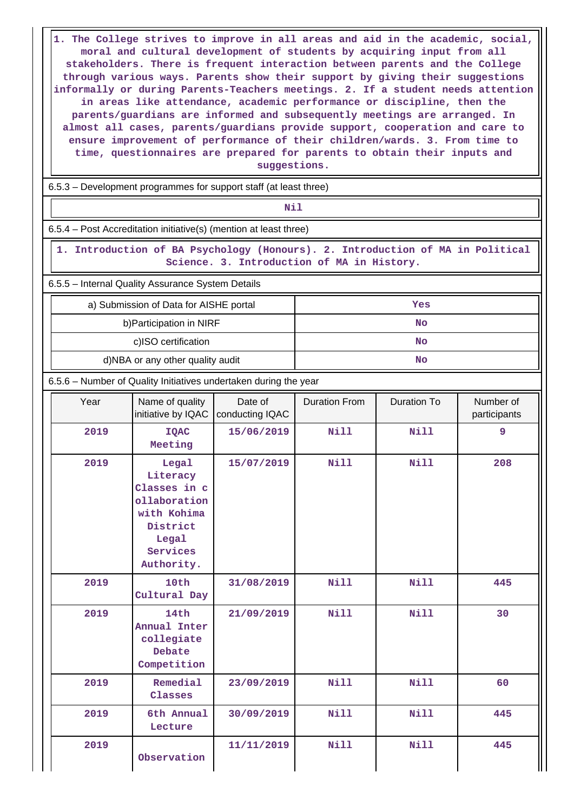**1. The College strives to improve in all areas and aid in the academic, social, moral and cultural development of students by acquiring input from all stakeholders. There is frequent interaction between parents and the College through various ways. Parents show their support by giving their suggestions informally or during Parents-Teachers meetings. 2. If a student needs attention in areas like attendance, academic performance or discipline, then the parents/guardians are informed and subsequently meetings are arranged. In almost all cases, parents/guardians provide support, cooperation and care to ensure improvement of performance of their children/wards. 3. From time to time, questionnaires are prepared for parents to obtain their inputs and suggestions.**

6.5.3 – Development programmes for support staff (at least three)

## **Nil**

6.5.4 – Post Accreditation initiative(s) (mention at least three)

 **1. Introduction of BA Psychology (Honours). 2. Introduction of MA in Political Science. 3. Introduction of MA in History.**

6.5.5 – Internal Quality Assurance System Details

| a) Submission of Data for AISHE portal | Yes |
|----------------------------------------|-----|
| b) Participation in NIRF               | No  |
| c)ISO certification                    | No  |
| d)NBA or any other quality audit       | No  |

6.5.6 – Number of Quality Initiatives undertaken during the year

| Year | Name of quality<br>initiative by IQAC                                                                           | Date of<br>conducting IQAC | <b>Duration From</b> | <b>Duration To</b> | Number of<br>participants |
|------|-----------------------------------------------------------------------------------------------------------------|----------------------------|----------------------|--------------------|---------------------------|
| 2019 | <b>IQAC</b><br>Meeting                                                                                          | 15/06/2019                 | Nill                 | Nill               | 9                         |
| 2019 | Legal<br>Literacy<br>Classes in c<br>ollaboration<br>with Kohima<br>District<br>Legal<br>Services<br>Authority. | 15/07/2019                 | Nill                 | <b>Nill</b>        | 208                       |
| 2019 | 10th<br>Cultural Day                                                                                            | 31/08/2019                 | Nill                 | Nill               | 445                       |
| 2019 | 14th<br>Annual Inter<br>collegiate<br>Debate<br>Competition                                                     | 21/09/2019                 | <b>Nill</b>          | <b>Nill</b>        | 30                        |
| 2019 | Remedial<br>Classes                                                                                             | 23/09/2019                 | Nill                 | <b>Nill</b>        | 60                        |
| 2019 | 6th Annual<br>Lecture                                                                                           | 30/09/2019                 | <b>Nill</b>          | <b>Nill</b>        | 445                       |
| 2019 | Observation                                                                                                     | 11/11/2019                 | Nill                 | <b>Nill</b>        | 445                       |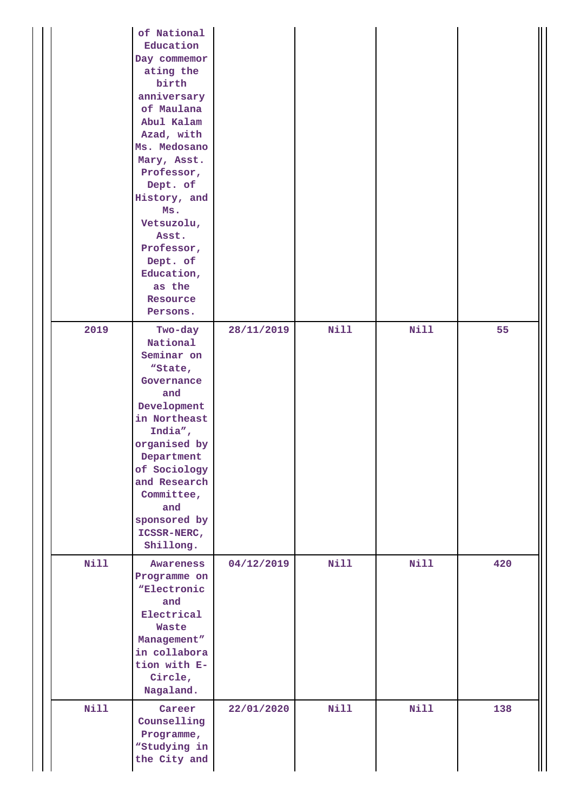|             | of National<br>Education<br>Day commemor<br>ating the<br>birth<br>anniversary<br>of Maulana<br>Abul Kalam<br>Azad, with<br>Ms. Medosano<br>Mary, Asst.<br>Professor,<br>Dept. of<br>History, and<br>Ms.<br>Vetsuzolu,<br>Asst.<br>Professor,<br>Dept. of<br>Education,<br>as the<br>Resource<br>Persons. |            |             |             |     |
|-------------|----------------------------------------------------------------------------------------------------------------------------------------------------------------------------------------------------------------------------------------------------------------------------------------------------------|------------|-------------|-------------|-----|
| 2019        | Two-day<br>National<br>Seminar on<br>"State,<br>Governance<br>and<br>Development<br>in Northeast<br>India",<br>organised by<br>Department<br>of Sociology<br>and Research<br>Committee,<br>and<br>sponsored by<br>ICSSR-NERC,<br>Shillong.                                                               | 28/11/2019 | <b>Nill</b> | <b>Nill</b> | 55  |
| <b>Nill</b> | Awareness<br>Programme on<br>"Electronic<br>and<br>Electrical<br>Waste<br>Management"<br>in collabora<br>tion with E-<br>Circle,<br>Nagaland.                                                                                                                                                            | 04/12/2019 | <b>Nill</b> | <b>Nill</b> | 420 |
| Nill        | Career<br>Counselling<br>Programme,<br>"Studying in<br>the City and                                                                                                                                                                                                                                      | 22/01/2020 | <b>Nill</b> | <b>Nill</b> | 138 |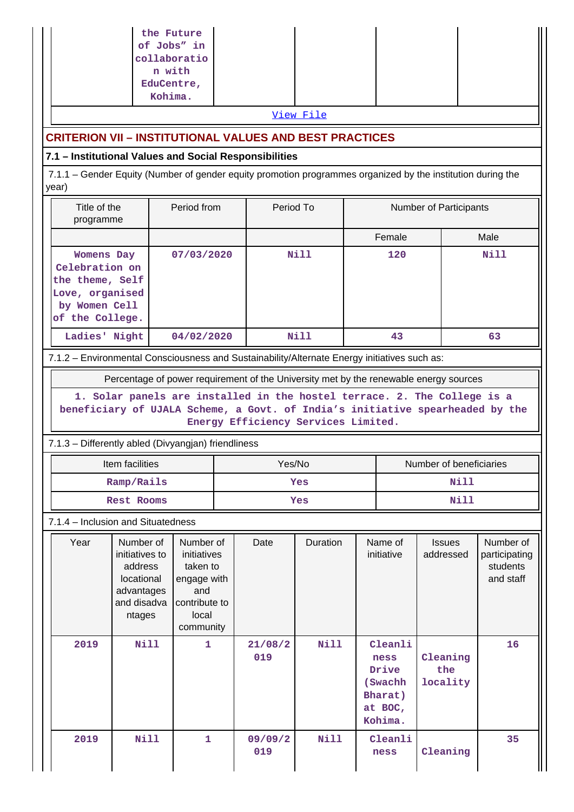|                                                                                                                                                                                                  | the Future<br>collaboratio<br>n with<br>EduCentre,<br>Kohima.                               | of Jobs" in                                                                                       |                                                                                       |                     |                                                                      |                             |                                                     |  |  |  |
|--------------------------------------------------------------------------------------------------------------------------------------------------------------------------------------------------|---------------------------------------------------------------------------------------------|---------------------------------------------------------------------------------------------------|---------------------------------------------------------------------------------------|---------------------|----------------------------------------------------------------------|-----------------------------|-----------------------------------------------------|--|--|--|
| View File                                                                                                                                                                                        |                                                                                             |                                                                                                   |                                                                                       |                     |                                                                      |                             |                                                     |  |  |  |
|                                                                                                                                                                                                  | <b>CRITERION VII - INSTITUTIONAL VALUES AND BEST PRACTICES</b>                              |                                                                                                   |                                                                                       |                     |                                                                      |                             |                                                     |  |  |  |
| 7.1 - Institutional Values and Social Responsibilities<br>7.1.1 - Gender Equity (Number of gender equity promotion programmes organized by the institution during the<br>year)                   |                                                                                             |                                                                                                   |                                                                                       |                     |                                                                      |                             |                                                     |  |  |  |
| Title of the<br>Period from<br>Period To<br>Number of Participants<br>programme                                                                                                                  |                                                                                             |                                                                                                   |                                                                                       |                     |                                                                      |                             |                                                     |  |  |  |
|                                                                                                                                                                                                  |                                                                                             |                                                                                                   |                                                                                       |                     | Female                                                               |                             | Male                                                |  |  |  |
| Womens Day<br>Celebration on<br>the theme, Self<br>Love, organised<br>by Women Cell<br>of the College.                                                                                           |                                                                                             | 07/03/2020                                                                                        |                                                                                       | Nill<br>Nill<br>120 |                                                                      |                             |                                                     |  |  |  |
| Ladies' Night                                                                                                                                                                                    |                                                                                             | 04/02/2020                                                                                        | <b>Nill</b>                                                                           |                     | 43                                                                   |                             |                                                     |  |  |  |
| 7.1.2 - Environmental Consciousness and Sustainability/Alternate Energy initiatives such as:                                                                                                     |                                                                                             |                                                                                                   |                                                                                       |                     |                                                                      |                             |                                                     |  |  |  |
|                                                                                                                                                                                                  |                                                                                             |                                                                                                   | Percentage of power requirement of the University met by the renewable energy sources |                     |                                                                      |                             |                                                     |  |  |  |
| 1. Solar panels are installed in the hostel terrace. 2. The College is a<br>beneficiary of UJALA Scheme, a Govt. of India's initiative spearheaded by the<br>Energy Efficiency Services Limited. |                                                                                             |                                                                                                   |                                                                                       |                     |                                                                      |                             |                                                     |  |  |  |
| 7.1.3 - Differently abled (Divyangjan) friendliness                                                                                                                                              |                                                                                             |                                                                                                   |                                                                                       |                     |                                                                      |                             |                                                     |  |  |  |
|                                                                                                                                                                                                  | Item facilities                                                                             |                                                                                                   | Yes/No                                                                                |                     |                                                                      | Number of beneficiaries     |                                                     |  |  |  |
|                                                                                                                                                                                                  | Ramp/Rails                                                                                  |                                                                                                   |                                                                                       | Yes                 |                                                                      | Nill                        |                                                     |  |  |  |
|                                                                                                                                                                                                  | Rest Rooms                                                                                  |                                                                                                   |                                                                                       | Yes                 |                                                                      | Nill                        |                                                     |  |  |  |
| 7.1.4 - Inclusion and Situatedness                                                                                                                                                               |                                                                                             |                                                                                                   |                                                                                       |                     |                                                                      |                             |                                                     |  |  |  |
| Year                                                                                                                                                                                             | Number of<br>initiatives to<br>address<br>locational<br>advantages<br>and disadva<br>ntages | Number of<br>initiatives<br>taken to<br>engage with<br>and<br>contribute to<br>local<br>community | Date                                                                                  | Duration            | Name of<br>initiative                                                | <b>Issues</b><br>addressed  | Number of<br>participating<br>students<br>and staff |  |  |  |
| 2019                                                                                                                                                                                             | <b>Nill</b>                                                                                 | $\mathbf{1}$                                                                                      | 21/08/2<br>019                                                                        | <b>Nill</b>         | Cleanli<br>ness<br>Drive<br>(Swachh<br>Bharat)<br>at BOC,<br>Kohima. | Cleaning<br>the<br>locality | 16                                                  |  |  |  |
| 2019                                                                                                                                                                                             | <b>Nill</b>                                                                                 | $\mathbf{1}$                                                                                      | 09/09/2<br>019                                                                        | <b>Nill</b>         | Cleanli<br>ness                                                      | Cleaning                    | 35                                                  |  |  |  |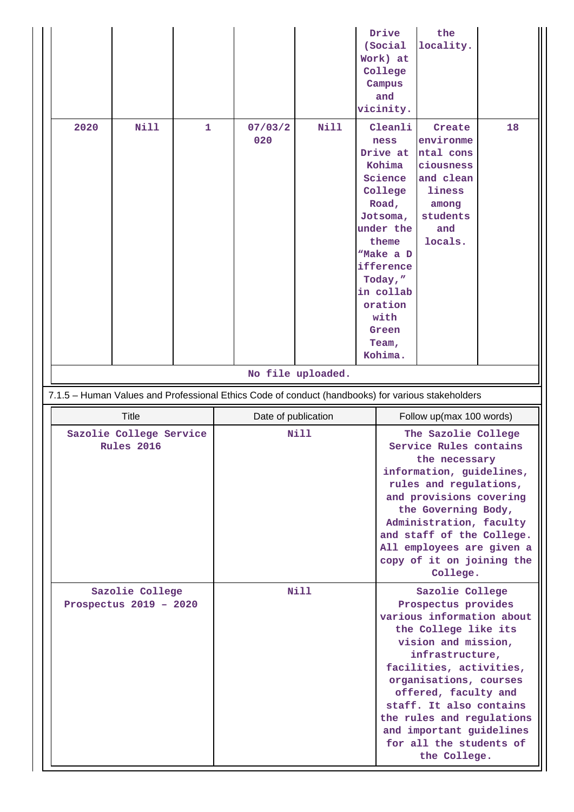|                                                                                                   |             |                     |      |                |                   |                                                                                                                                                                                                                                                                                                                                                   | Drive<br>(Social<br>Work) at<br>College<br>Campus<br>and<br>vicinity.                                                                                                                                    | the<br>locality.                                                                                            |    |
|---------------------------------------------------------------------------------------------------|-------------|---------------------|------|----------------|-------------------|---------------------------------------------------------------------------------------------------------------------------------------------------------------------------------------------------------------------------------------------------------------------------------------------------------------------------------------------------|----------------------------------------------------------------------------------------------------------------------------------------------------------------------------------------------------------|-------------------------------------------------------------------------------------------------------------|----|
| 2020                                                                                              | <b>Nill</b> | $\mathbf{1}$        |      | 07/03/2<br>020 | <b>Nill</b>       |                                                                                                                                                                                                                                                                                                                                                   | Cleanli<br>ness<br>Drive at<br>Kohima<br>Science<br>College<br>Road,<br>Jotsoma,<br>under the<br>theme<br>"Make a D<br>ifference<br>Today,"<br>in collab<br>oration<br>with<br>Green<br>Team,<br>Kohima. | Create<br>environme<br>ntal cons<br>ciousness<br>and clean<br>liness<br>among<br>students<br>and<br>locals. | 18 |
|                                                                                                   |             |                     |      |                | No file uploaded. |                                                                                                                                                                                                                                                                                                                                                   |                                                                                                                                                                                                          |                                                                                                             |    |
| 7.1.5 - Human Values and Professional Ethics Code of conduct (handbooks) for various stakeholders |             |                     |      |                |                   |                                                                                                                                                                                                                                                                                                                                                   |                                                                                                                                                                                                          |                                                                                                             |    |
| <b>Title</b>                                                                                      |             | Date of publication |      |                |                   |                                                                                                                                                                                                                                                                                                                                                   | Follow up(max 100 words)                                                                                                                                                                                 |                                                                                                             |    |
| Sazolie College Service<br>Rules 2016                                                             |             | Nill                |      |                |                   | The Sazolie College<br>Service Rules contains<br>the necessary<br>information, guidelines,<br>rules and regulations,<br>and provisions covering<br>the Governing Body,<br>Administration, faculty<br>and staff of the College.<br>All employees are given a<br>copy of it on joining the<br>College.                                              |                                                                                                                                                                                                          |                                                                                                             |    |
| Sazolie College<br>Prospectus 2019 - 2020                                                         |             |                     | Nill |                |                   | Sazolie College<br>Prospectus provides<br>various information about<br>the College like its<br>vision and mission,<br>infrastructure,<br>facilities, activities,<br>organisations, courses<br>offered, faculty and<br>staff. It also contains<br>the rules and regulations<br>and important guidelines<br>for all the students of<br>the College. |                                                                                                                                                                                                          |                                                                                                             |    |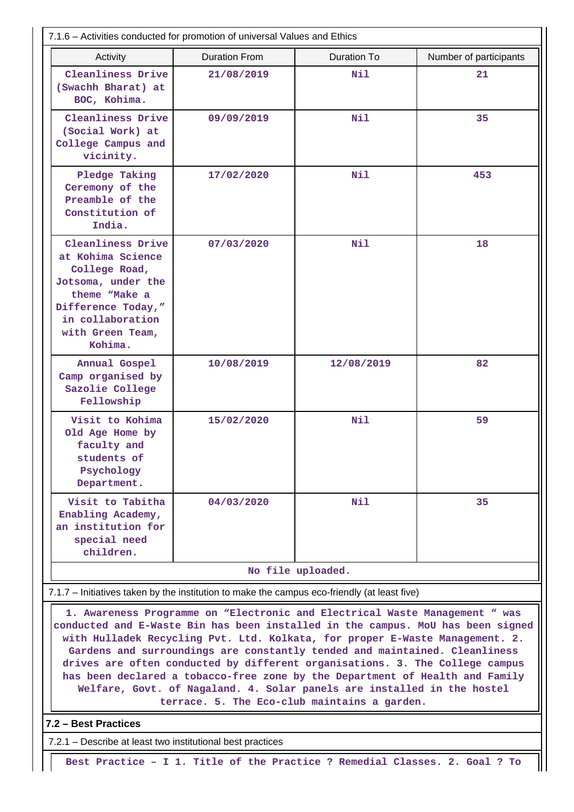| 7.1.6 - Activities conducted for promotion of universal Values and Ethics                                                                                                                                                                                                                                                    |                      |                    |                        |  |  |  |  |
|------------------------------------------------------------------------------------------------------------------------------------------------------------------------------------------------------------------------------------------------------------------------------------------------------------------------------|----------------------|--------------------|------------------------|--|--|--|--|
| Activity                                                                                                                                                                                                                                                                                                                     | <b>Duration From</b> | <b>Duration To</b> | Number of participants |  |  |  |  |
| Cleanliness Drive<br>(Swachh Bharat) at<br>BOC, Kohima.                                                                                                                                                                                                                                                                      | 21/08/2019           | Nil                | 21                     |  |  |  |  |
| Cleanliness Drive<br>(Social Work) at<br>College Campus and<br>vicinity.                                                                                                                                                                                                                                                     | 09/09/2019           | Nil                | 35                     |  |  |  |  |
| Pledge Taking<br>Ceremony of the<br>Preamble of the<br>Constitution of<br>India.                                                                                                                                                                                                                                             | 17/02/2020           | Nil                | 453                    |  |  |  |  |
| Cleanliness Drive<br>at Kohima Science<br>College Road,<br>Jotsoma, under the<br>theme "Make a<br>Difference Today,"<br>in collaboration<br>with Green Team,<br>Kohima.                                                                                                                                                      | 07/03/2020           | Nil                | 18                     |  |  |  |  |
| Annual Gospel<br>Camp organised by<br>Sazolie College<br>Fellowship                                                                                                                                                                                                                                                          | 10/08/2019           | 12/08/2019         | 82                     |  |  |  |  |
| Visit to Kohima<br>Old Age Home by<br>faculty and<br>students of<br>Psychology<br>Department.                                                                                                                                                                                                                                | 15/02/2020           | Nil                | 59                     |  |  |  |  |
| Visit to Tabitha<br>Enabling Academy,<br>an institution for<br>special need<br>children.                                                                                                                                                                                                                                     | 04/03/2020           | Nil                | 35                     |  |  |  |  |
| No file uploaded.                                                                                                                                                                                                                                                                                                            |                      |                    |                        |  |  |  |  |
| 7.1.7 – Initiatives taken by the institution to make the campus eco-friendly (at least five)                                                                                                                                                                                                                                 |                      |                    |                        |  |  |  |  |
| 1. Awareness Programme on "Electronic and Electrical Waste Management " was<br>conducted and E-Waste Bin has been installed in the campus. MoU has been signed<br>with Hulladek Recycling Pvt. Ltd. Kolkata, for proper E-Waste Management. 2.<br>Gardens and surroundings are constantly tended and maintained. Cleanliness |                      |                    |                        |  |  |  |  |

**has been declared a tobacco-free zone by the Department of Health and Family Welfare, Govt. of Nagaland. 4. Solar panels are installed in the hostel terrace. 5. The Eco-club maintains a garden.**

### **7.2 – Best Practices**

7.2.1 – Describe at least two institutional best practices

**Best Practice – I 1. Title of the Practice ? Remedial Classes. 2. Goal ? To**

**drives are often conducted by different organisations. 3. The College campus**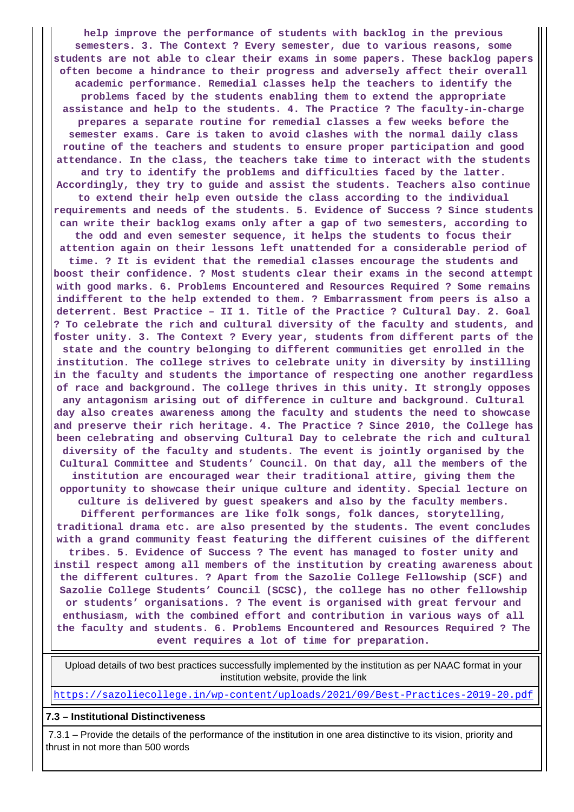**help improve the performance of students with backlog in the previous semesters. 3. The Context ? Every semester, due to various reasons, some students are not able to clear their exams in some papers. These backlog papers often become a hindrance to their progress and adversely affect their overall academic performance. Remedial classes help the teachers to identify the problems faced by the students enabling them to extend the appropriate assistance and help to the students. 4. The Practice ? The faculty-in-charge prepares a separate routine for remedial classes a few weeks before the semester exams. Care is taken to avoid clashes with the normal daily class routine of the teachers and students to ensure proper participation and good attendance. In the class, the teachers take time to interact with the students and try to identify the problems and difficulties faced by the latter. Accordingly, they try to guide and assist the students. Teachers also continue to extend their help even outside the class according to the individual requirements and needs of the students. 5. Evidence of Success ? Since students can write their backlog exams only after a gap of two semesters, according to the odd and even semester sequence, it helps the students to focus their attention again on their lessons left unattended for a considerable period of time. ? It is evident that the remedial classes encourage the students and boost their confidence. ? Most students clear their exams in the second attempt with good marks. 6. Problems Encountered and Resources Required ? Some remains indifferent to the help extended to them. ? Embarrassment from peers is also a deterrent. Best Practice – II 1. Title of the Practice ? Cultural Day. 2. Goal ? To celebrate the rich and cultural diversity of the faculty and students, and foster unity. 3. The Context ? Every year, students from different parts of the state and the country belonging to different communities get enrolled in the institution. The college strives to celebrate unity in diversity by instilling in the faculty and students the importance of respecting one another regardless of race and background. The college thrives in this unity. It strongly opposes any antagonism arising out of difference in culture and background. Cultural day also creates awareness among the faculty and students the need to showcase and preserve their rich heritage. 4. The Practice ? Since 2010, the College has been celebrating and observing Cultural Day to celebrate the rich and cultural diversity of the faculty and students. The event is jointly organised by the Cultural Committee and Students' Council. On that day, all the members of the institution are encouraged wear their traditional attire, giving them the opportunity to showcase their unique culture and identity. Special lecture on culture is delivered by guest speakers and also by the faculty members. Different performances are like folk songs, folk dances, storytelling, traditional drama etc. are also presented by the students. The event concludes**

**with a grand community feast featuring the different cuisines of the different tribes. 5. Evidence of Success ? The event has managed to foster unity and instil respect among all members of the institution by creating awareness about the different cultures. ? Apart from the Sazolie College Fellowship (SCF) and Sazolie College Students' Council (SCSC), the college has no other fellowship or students' organisations. ? The event is organised with great fervour and enthusiasm, with the combined effort and contribution in various ways of all the faculty and students. 6. Problems Encountered and Resources Required ? The event requires a lot of time for preparation.**

 Upload details of two best practices successfully implemented by the institution as per NAAC format in your institution website, provide the link

<https://sazoliecollege.in/wp-content/uploads/2021/09/Best-Practices-2019-20.pdf>

#### **7.3 – Institutional Distinctiveness**

 7.3.1 – Provide the details of the performance of the institution in one area distinctive to its vision, priority and thrust in not more than 500 words